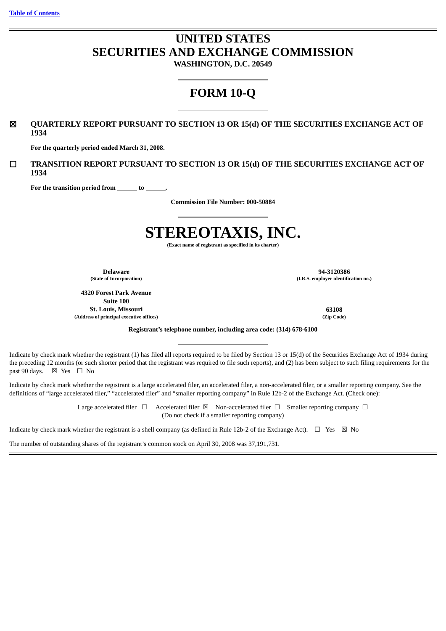# **UNITED STATES SECURITIES AND EXCHANGE COMMISSION**

**WASHINGTON, D.C. 20549**

## **FORM 10-Q**

## ☒ **QUARTERLY REPORT PURSUANT TO SECTION 13 OR 15(d) OF THE SECURITIES EXCHANGE ACT OF 1934**

**For the quarterly period ended March 31, 2008.**

## ☐ **TRANSITION REPORT PURSUANT TO SECTION 13 OR 15(d) OF THE SECURITIES EXCHANGE ACT OF 1934**

For the transition period from \_\_\_\_\_\_ to \_\_

**Commission File Number: 000-50884**

# **STEREOTAXIS, INC.**

**(Exact name of registrant as specified in its charter)**

**4320 Forest Park Avenue Suite 100 St. Louis, Missouri 63108 (Address of principal executive offices) (Zip Code)**

**Delaware 94-3120386 (State of Incorporation) (I.R.S. employer identification no.)**

**Registrant's telephone number, including area code: (314) 678-6100**

Indicate by check mark whether the registrant (1) has filed all reports required to be filed by Section 13 or 15(d) of the Securities Exchange Act of 1934 during the preceding 12 months (or such shorter period that the registrant was required to file such reports), and (2) has been subject to such filing requirements for the past 90 days.  $\boxtimes$  Yes  $\Box$  No

Indicate by check mark whether the registrant is a large accelerated filer, an accelerated filer, a non-accelerated filer, or a smaller reporting company. See the definitions of "large accelerated filer," "accelerated filer" and "smaller reporting company" in Rule 12b-2 of the Exchange Act. (Check one):

> Large accelerated filer  $\Box$  Accelerated filer  $\boxtimes$  Non-accelerated filer  $\Box$  Smaller reporting company  $\Box$ (Do not check if a smaller reporting company)

Indicate by check mark whether the registrant is a shell company (as defined in Rule 12b-2 of the Exchange Act).  $\Box$  Yes  $\boxtimes$  No

The number of outstanding shares of the registrant's common stock on April 30, 2008 was 37,191,731.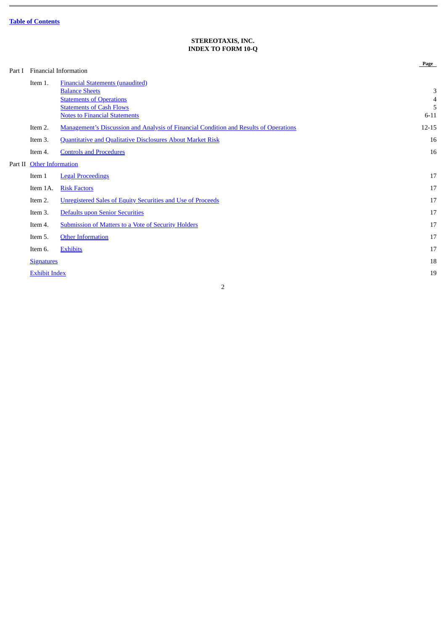## **STEREOTAXIS, INC. INDEX TO FORM 10-Q**

<span id="page-1-0"></span>

| Part I |                           | Financial Information                                                                                                                                                          | Page                    |
|--------|---------------------------|--------------------------------------------------------------------------------------------------------------------------------------------------------------------------------|-------------------------|
|        | Item 1.                   | <b>Financial Statements (unaudited)</b><br><b>Balance Sheets</b><br><b>Statements of Operations</b><br><b>Statements of Cash Flows</b><br><b>Notes to Financial Statements</b> | 3<br>4<br>5<br>$6 - 11$ |
|        | Item 2.                   | Management's Discussion and Analysis of Financial Condition and Results of Operations                                                                                          | $12 - 15$               |
|        | Item 3.                   | <b>Quantitative and Qualitative Disclosures About Market Risk</b>                                                                                                              | 16                      |
|        | Item 4.                   | <b>Controls and Procedures</b>                                                                                                                                                 | 16                      |
|        | Part II Other Information |                                                                                                                                                                                |                         |
|        | Item 1                    | <b>Legal Proceedings</b>                                                                                                                                                       | 17                      |
|        | Item 1A.                  | <b>Risk Factors</b>                                                                                                                                                            | 17                      |
|        | Item 2.                   | <b>Unregistered Sales of Equity Securities and Use of Proceeds</b>                                                                                                             | 17                      |
|        | Item 3.                   | Defaults upon Senior Securities                                                                                                                                                | 17                      |
|        | Item 4.                   | <b>Submission of Matters to a Vote of Security Holders</b>                                                                                                                     | 17                      |
|        | Item 5.                   | <b>Other Information</b>                                                                                                                                                       | 17                      |
|        | Item 6.                   | <b>Exhibits</b>                                                                                                                                                                | 17                      |
|        | <b>Signatures</b>         |                                                                                                                                                                                | 18                      |
|        | <b>Exhibit Index</b>      |                                                                                                                                                                                | 19                      |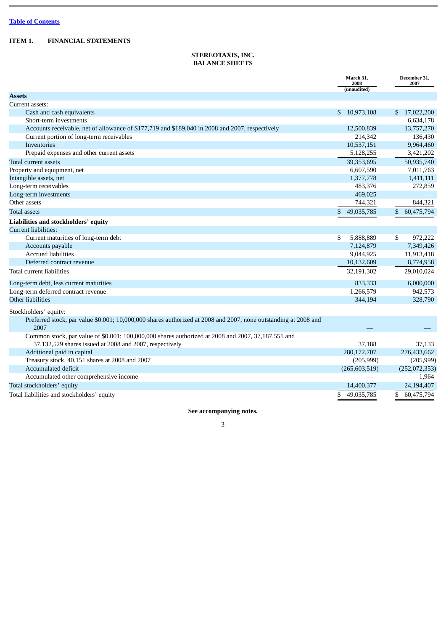## <span id="page-2-1"></span><span id="page-2-0"></span>**ITEM 1. FINANCIAL STATEMENTS**

## **STEREOTAXIS, INC. BALANCE SHEETS**

|                                                                                                                         | March 31,<br>2008 | December 31,<br>2007       |
|-------------------------------------------------------------------------------------------------------------------------|-------------------|----------------------------|
| <b>Assets</b>                                                                                                           | (unaudited)       |                            |
| Current assets:                                                                                                         |                   |                            |
| Cash and cash equivalents                                                                                               | \$<br>10,973,108  | \$17,022,200               |
| Short-term investments                                                                                                  |                   | 6,634,178                  |
| Accounts receivable, net of allowance of \$177,719 and \$189,040 in 2008 and 2007, respectively                         | 12,500,839        | 13,757,270                 |
| Current portion of long-term receivables                                                                                | 214,342           | 136,430                    |
| Inventories                                                                                                             | 10,537,151        | 9,964,460                  |
| Prepaid expenses and other current assets                                                                               | 5,128,255         | 3,421,202                  |
| Total current assets                                                                                                    | 39,353,695        | 50,935,740                 |
| Property and equipment, net                                                                                             | 6,607,590         | 7,011,763                  |
| Intangible assets, net                                                                                                  | 1,377,778         | 1,411,111                  |
| Long-term receivables                                                                                                   | 483,376           | 272,859                    |
| Long-term investments                                                                                                   | 469,025           |                            |
| Other assets                                                                                                            | 744,321           | 844,321                    |
| <b>Total assets</b>                                                                                                     | 49,035,785<br>\$  | $\mathbb{S}$<br>60,475,794 |
| Liabilities and stockholders' equity                                                                                    |                   |                            |
| Current liabilities:                                                                                                    |                   |                            |
| Current maturities of long-term debt                                                                                    | \$<br>5,888,889   | \$<br>972,222              |
| Accounts payable                                                                                                        | 7,124,879         | 7,349,426                  |
| <b>Accrued liabilities</b>                                                                                              | 9,044,925         | 11,913,418                 |
| Deferred contract revenue                                                                                               | 10,132,609        | 8,774,958                  |
| Total current liabilities                                                                                               | 32,191,302        | 29,010,024                 |
| Long-term debt, less current maturities                                                                                 | 833,333           | 6,000,000                  |
| Long-term deferred contract revenue                                                                                     | 1,266,579         | 942,573                    |
| Other liabilities                                                                                                       | 344,194           | 328,790                    |
| Stockholders' equity:                                                                                                   |                   |                            |
| Preferred stock, par value \$0.001; 10,000,000 shares authorized at 2008 and 2007, none outstanding at 2008 and<br>2007 |                   |                            |
| Common stock, par value of \$0.001; 100,000,000 shares authorized at 2008 and 2007, 37,187,551 and                      |                   |                            |
| 37,132,529 shares issued at 2008 and 2007, respectively                                                                 | 37,188            | 37,133                     |
| Additional paid in capital                                                                                              | 280,172,707       | 276,433,662                |
| Treasury stock, 40,151 shares at 2008 and 2007                                                                          | (205,999)         | (205, 999)                 |
| Accumulated deficit                                                                                                     | (265, 603, 519)   | (252,072,353)              |
| Accumulated other comprehensive income                                                                                  |                   | 1,964                      |
| Total stockholders' equity                                                                                              | 14,400,377        | 24,194,407                 |
| Total liabilities and stockholders' equity                                                                              | \$<br>49,035,785  | 60,475,794<br>\$           |

**See accompanying notes.** 3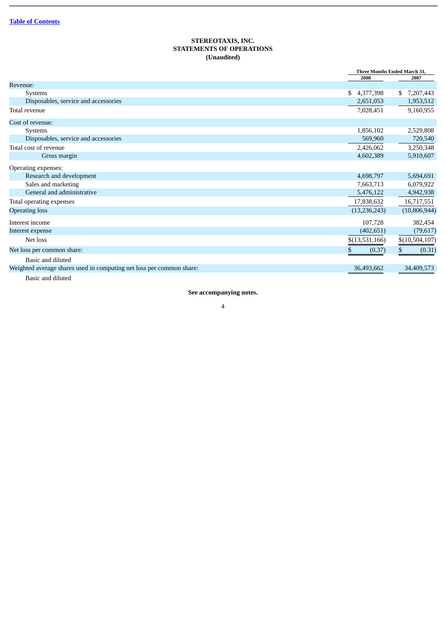## **STEREOTAXIS, INC. STATEMENTS OF OPERATIONS (Unaudited)**

<span id="page-3-0"></span>

|                                                                      | Three Months Ended March 31, |                 |
|----------------------------------------------------------------------|------------------------------|-----------------|
|                                                                      | 2008                         | 2007            |
| Revenue:                                                             |                              |                 |
| Systems                                                              | \$<br>4,377,398              | 7,207,443<br>S. |
| Disposables, service and accessories                                 | 2,651,053                    | 1,953,512       |
| Total revenue                                                        | 7,028,451                    | 9,160,955       |
| Cost of revenue:                                                     |                              |                 |
| Systems                                                              | 1,856,102                    | 2,529,808       |
| Disposables, service and accessories                                 | 569,960                      | 720,540         |
| Total cost of revenue                                                | 2,426,062                    | 3,250,348       |
| Gross margin                                                         | 4,602,389                    | 5,910,607       |
| Operating expenses:                                                  |                              |                 |
| Research and development                                             | 4,698,797                    | 5,694,691       |
| Sales and marketing                                                  | 7,663,713                    | 6,079,922       |
| General and administrative                                           | 5,476,122                    | 4,942,938       |
| Total operating expenses                                             | 17,838,632                   | 16,717,551      |
| <b>Operating loss</b>                                                | (13, 236, 243)               | (10,806,944)    |
| Interest income                                                      | 107,728                      | 382,454         |
| Interest expense                                                     | (402, 651)                   | (79, 617)       |
| Net loss                                                             | \$(13,531,166)               | \$(10,504,107)  |
| Net loss per common share:                                           | (0.37)                       | (0.31)<br>S     |
| Basic and diluted                                                    |                              |                 |
| Weighted average shares used in computing net loss per common share: | 36,493,662                   | 34,409,573      |
| Basic and diluted                                                    |                              |                 |

**See accompanying notes.**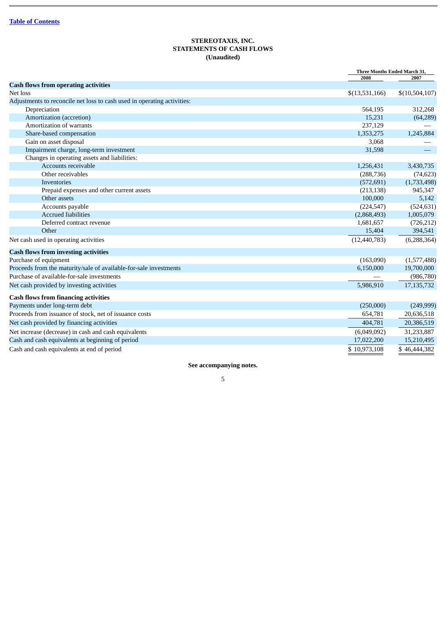## **STEREOTAXIS, INC. STATEMENTS OF CASH FLOWS (Unaudited)**

<span id="page-4-0"></span>

|                                                                         |                | Three Months Ended March 31, |
|-------------------------------------------------------------------------|----------------|------------------------------|
|                                                                         | 2008           | 2007                         |
| <b>Cash flows from operating activities</b>                             |                |                              |
| Net loss                                                                | \$(13,531,166) | \$(10,504,107)               |
| Adjustments to reconcile net loss to cash used in operating activities: |                |                              |
| Depreciation                                                            | 564,195        | 312,268                      |
| Amortization (accretion)                                                | 15,231         | (64, 289)                    |
| Amortization of warrants                                                | 237,129        |                              |
| Share-based compensation                                                | 1,353,275      | 1,245,884                    |
| Gain on asset disposal                                                  | 3,068          |                              |
| Impairment charge, long-term investment                                 | 31,598         |                              |
| Changes in operating assets and liabilities:                            |                |                              |
| Accounts receivable                                                     | 1,256,431      | 3,430,735                    |
| Other receivables                                                       | (288, 736)     | (74, 623)                    |
| <b>Inventories</b>                                                      | (572, 691)     | (1,733,498)                  |
| Prepaid expenses and other current assets                               | (213, 138)     | 945,347                      |
| Other assets                                                            | 100,000        | 5,142                        |
| Accounts payable                                                        | (224, 547)     | (524, 631)                   |
| <b>Accrued liabilities</b>                                              | (2,868,493)    | 1,005,079                    |
| Deferred contract revenue                                               | 1,681,657      | (726, 212)                   |
| Other                                                                   | 15.404         | 394,541                      |
| Net cash used in operating activities                                   | (12, 440, 783) | (6, 288, 364)                |
| <b>Cash flows from investing activities</b>                             |                |                              |
| Purchase of equipment                                                   | (163,090)      | (1,577,488)                  |
| Proceeds from the maturity/sale of available-for-sale investments       | 6,150,000      | 19,700,000                   |
| Purchase of available-for-sale investments                              |                | (986, 780)                   |
| Net cash provided by investing activities                               | 5,986,910      | 17,135,732                   |
| <b>Cash flows from financing activities</b>                             |                |                              |
| Payments under long-term debt                                           | (250,000)      | (249,999)                    |
| Proceeds from issuance of stock, net of issuance costs                  | 654,781        | 20,636,518                   |
| Net cash provided by financing activities                               | 404,781        | 20,386,519                   |
| Net increase (decrease) in cash and cash equivalents                    | (6,049,092)    | 31,233,887                   |
| Cash and cash equivalents at beginning of period                        | 17,022,200     | 15,210,495                   |
| Cash and cash equivalents at end of period                              | \$10,973,108   | \$46,444,382                 |

**See accompanying notes.**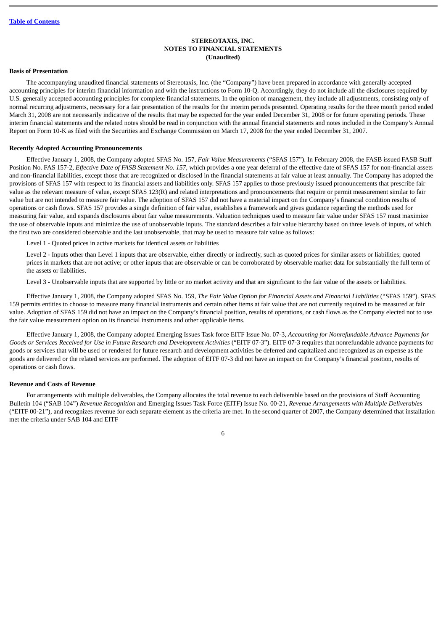## **STEREOTAXIS, INC. NOTES TO FINANCIAL STATEMENTS (Unaudited)**

#### <span id="page-5-0"></span>**Basis of Presentation**

The accompanying unaudited financial statements of Stereotaxis, Inc. (the "Company") have been prepared in accordance with generally accepted accounting principles for interim financial information and with the instructions to Form 10-Q. Accordingly, they do not include all the disclosures required by U.S. generally accepted accounting principles for complete financial statements. In the opinion of management, they include all adjustments, consisting only of normal recurring adjustments, necessary for a fair presentation of the results for the interim periods presented. Operating results for the three month period ended March 31, 2008 are not necessarily indicative of the results that may be expected for the year ended December 31, 2008 or for future operating periods. These interim financial statements and the related notes should be read in conjunction with the annual financial statements and notes included in the Company's Annual Report on Form 10-K as filed with the Securities and Exchange Commission on March 17, 2008 for the year ended December 31, 2007.

#### **Recently Adopted Accounting Pronouncements**

Effective January 1, 2008, the Company adopted SFAS No. 157, *Fair Value Measurements* ("SFAS 157"). In February 2008, the FASB issued FASB Staff Position No. FAS 157-2, *Effective Date of FASB Statement No.* 157, which provides a one year deferral of the effective date of SFAS 157 for non-financial assets and non-financial liabilities, except those that are recognized or disclosed in the financial statements at fair value at least annually. The Company has adopted the provisions of SFAS 157 with respect to its financial assets and liabilities only. SFAS 157 applies to those previously issued pronouncements that prescribe fair value as the relevant measure of value, except SFAS 123(R) and related interpretations and pronouncements that require or permit measurement similar to fair value but are not intended to measure fair value. The adoption of SFAS 157 did not have a material impact on the Company's financial condition results of operations or cash flows. SFAS 157 provides a single definition of fair value, establishes a framework and gives guidance regarding the methods used for measuring fair value, and expands disclosures about fair value measurements. Valuation techniques used to measure fair value under SFAS 157 must maximize the use of observable inputs and minimize the use of unobservable inputs. The standard describes a fair value hierarchy based on three levels of inputs, of which the first two are considered observable and the last unobservable, that may be used to measure fair value as follows:

Level 1 - Quoted prices in active markets for identical assets or liabilities

Level 2 - Inputs other than Level 1 inputs that are observable, either directly or indirectly, such as quoted prices for similar assets or liabilities; quoted prices in markets that are not active; or other inputs that are observable or can be corroborated by observable market data for substantially the full term of the assets or liabilities.

Level 3 - Unobservable inputs that are supported by little or no market activity and that are significant to the fair value of the assets or liabilities.

Effective January 1, 2008, the Company adopted SFAS No. 159, *The Fair Value Option for Financial Assets and Financial Liabilities* ("SFAS 159"). SFAS 159 permits entities to choose to measure many financial instruments and certain other items at fair value that are not currently required to be measured at fair value. Adoption of SFAS 159 did not have an impact on the Company's financial position, results of operations, or cash flows as the Company elected not to use the fair value measurement option on its financial instruments and other applicable items.

Effective January 1, 2008, the Company adopted Emerging Issues Task force EITF Issue No. 07-3, *Accounting for Nonrefundable Advance Payments for Goods or Services Received for Use in Future Research and Development Activities* ("EITF 07-3"). EITF 07-3 requires that nonrefundable advance payments for goods or services that will be used or rendered for future research and development activities be deferred and capitalized and recognized as an expense as the goods are delivered or the related services are performed. The adoption of EITF 07-3 did not have an impact on the Company's financial position, results of operations or cash flows.

#### **Revenue and Costs of Revenue**

For arrangements with multiple deliverables, the Company allocates the total revenue to each deliverable based on the provisions of Staff Accounting Bulletin 104 ("SAB 104") *Revenue Recognition* and Emerging Issues Task Force (EITF) Issue No. 00-21, *Revenue Arrangements with Multiple Deliverables* ("EITF 00-21")*,* and recognizes revenue for each separate element as the criteria are met. In the second quarter of 2007, the Company determined that installation met the criteria under SAB 104 and EITF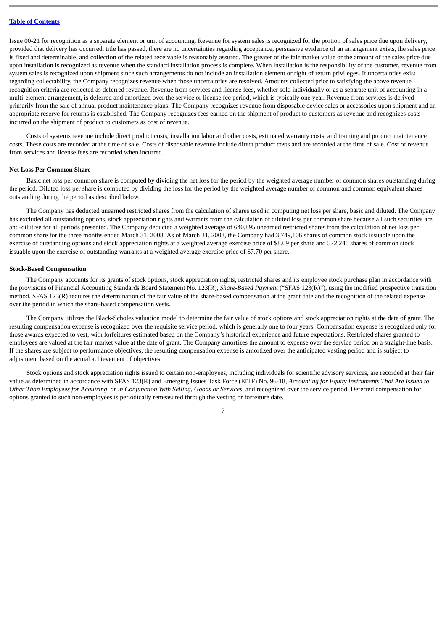Issue 00-21 for recognition as a separate element or unit of accounting. Revenue for system sales is recognized for the portion of sales price due upon delivery, provided that delivery has occurred, title has passed, there are no uncertainties regarding acceptance, persuasive evidence of an arrangement exists, the sales price is fixed and determinable, and collection of the related receivable is reasonably assured. The greater of the fair market value or the amount of the sales price due upon installation is recognized as revenue when the standard installation process is complete. When installation is the responsibility of the customer, revenue from system sales is recognized upon shipment since such arrangements do not include an installation element or right of return privileges. If uncertainties exist regarding collectability, the Company recognizes revenue when those uncertainties are resolved. Amounts collected prior to satisfying the above revenue recognition criteria are reflected as deferred revenue. Revenue from services and license fees, whether sold individually or as a separate unit of accounting in a multi-element arrangement, is deferred and amortized over the service or license fee period, which is typically one year. Revenue from services is derived primarily from the sale of annual product maintenance plans. The Company recognizes revenue from disposable device sales or accessories upon shipment and an appropriate reserve for returns is established. The Company recognizes fees earned on the shipment of product to customers as revenue and recognizes costs incurred on the shipment of product to customers as cost of revenue.

Costs of systems revenue include direct product costs, installation labor and other costs, estimated warranty costs, and training and product maintenance costs. These costs are recorded at the time of sale. Costs of disposable revenue include direct product costs and are recorded at the time of sale. Cost of revenue from services and license fees are recorded when incurred.

#### **Net Loss Per Common Share**

Basic net loss per common share is computed by dividing the net loss for the period by the weighted average number of common shares outstanding during the period. Diluted loss per share is computed by dividing the loss for the period by the weighted average number of common and common equivalent shares outstanding during the period as described below.

The Company has deducted unearned restricted shares from the calculation of shares used in computing net loss per share, basic and diluted. The Company has excluded all outstanding options, stock appreciation rights and warrants from the calculation of diluted loss per common share because all such securities are anti-dilutive for all periods presented. The Company deducted a weighted average of 640,895 unearned restricted shares from the calculation of net loss per common share for the three months ended March 31, 2008. As of March 31, 2008, the Company had 3,749,106 shares of common stock issuable upon the exercise of outstanding options and stock appreciation rights at a weighted average exercise price of \$8.09 per share and 572,246 shares of common stock issuable upon the exercise of outstanding warrants at a weighted average exercise price of \$7.70 per share.

#### **Stock-Based Compensation**

The Company accounts for its grants of stock options, stock appreciation rights, restricted shares and its employee stock purchase plan in accordance with the provisions of Financial Accounting Standards Board Statement No. 123(R), *Share-Based Payment* ("SFAS 123(R)"), using the modified prospective transition method. SFAS 123(R) requires the determination of the fair value of the share-based compensation at the grant date and the recognition of the related expense over the period in which the share-based compensation vests.

The Company utilizes the Black-Scholes valuation model to determine the fair value of stock options and stock appreciation rights at the date of grant. The resulting compensation expense is recognized over the requisite service period, which is generally one to four years. Compensation expense is recognized only for those awards expected to vest, with forfeitures estimated based on the Company's historical experience and future expectations. Restricted shares granted to employees are valued at the fair market value at the date of grant. The Company amortizes the amount to expense over the service period on a straight-line basis. If the shares are subject to performance objectives, the resulting compensation expense is amortized over the anticipated vesting period and is subject to adjustment based on the actual achievement of objectives.

Stock options and stock appreciation rights issued to certain non-employees, including individuals for scientific advisory services, are recorded at their fair value as determined in accordance with SFAS 123(R) and Emerging Issues Task Force (EITF) No. 96-18, *Accounting for Equity Instruments That Are Issued to Other Than Employees for Acquiring, or in Conjunction With Selling, Goods or Services,* and recognized over the service period. Deferred compensation for options granted to such non-employees is periodically remeasured through the vesting or forfeiture date.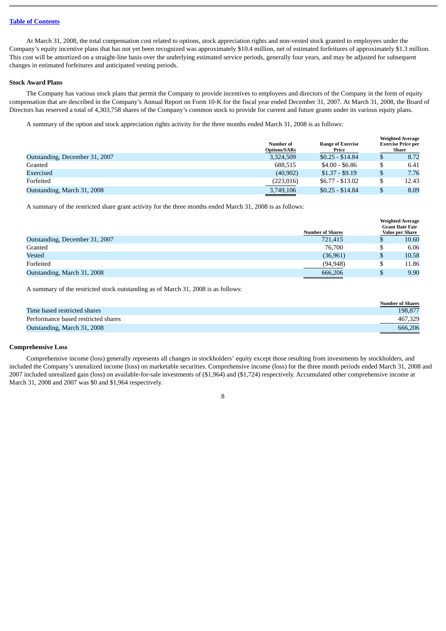At March 31, 2008, the total compensation cost related to options, stock appreciation rights and non-vested stock granted to employees under the Company's equity incentive plans that has not yet been recognized was approximately \$10.4 million, net of estimated forfeitures of approximately \$1.3 million. This cost will be amortized on a straight-line basis over the underlying estimated service periods, generally four years, and may be adjusted for subsequent changes in estimated forfeitures and anticipated vesting periods.

#### **Stock Award Plans**

The Company has various stock plans that permit the Company to provide incentives to employees and directors of the Company in the form of equity compensation that are described in the Company's Annual Report on Form 10-K for the fiscal year ended December 31, 2007. At March 31, 2008, the Board of Directors has reserved a total of 4,303,758 shares of the Company's common stock to provide for current and future grants under its various equity plans.

A summary of the option and stock appreciation rights activity for the three months ended March 31, 2008 is as follows:

|                                | Number of<br><b>Options/SARs</b> | <b>Range of Exercise</b><br>Price | <b>Weighted Average</b><br><b>Exercise Price per</b><br>Share |
|--------------------------------|----------------------------------|-----------------------------------|---------------------------------------------------------------|
| Outstanding, December 31, 2007 | 3,324,509                        | $$0.25 - $14.84$                  | 8.72                                                          |
| Granted                        | 688.515                          | $$4.00 - $6.86$                   | 6.41                                                          |
| Exercised                      | (40,902)                         | $$1.37 - $9.19$                   | 7.76                                                          |
| Forfeited                      | (223, 016)                       | $$6.77 - $13.02$$                 | 12.43                                                         |
| Outstanding, March 31, 2008    | 3,749,106                        | $$0.25 - $14.84$                  | 8.09                                                          |

A summary of the restricted share grant activity for the three months ended March 31, 2008 is as follows:

|                                | <b>Number of Shares</b> |    | <b>Weighted Average</b><br><b>Grant Date Fair</b><br>Value per Share |
|--------------------------------|-------------------------|----|----------------------------------------------------------------------|
| Outstanding, December 31, 2007 | 721,415                 |    | 10.60                                                                |
| Granted                        | 76,700                  |    | 6.06                                                                 |
| <b>Vested</b>                  | (36,961)                | S. | 10.58                                                                |
| Forfeited                      | (94, 948)               | S  | 11.86                                                                |
| Outstanding, March 31, 2008    | 666,206                 |    | 9.90                                                                 |

A summary of the restricted stock outstanding as of March 31, 2008 is as follows:

|                                     | <b>Number of Shares</b> |
|-------------------------------------|-------------------------|
| Time based restricted shares        | 198,877                 |
| Performance based restricted shares | 467,329                 |
| Outstanding, March 31, 2008         | 666.206                 |

## **Comprehensive Loss**

Comprehensive income (loss) generally represents all changes in stockholders' equity except those resulting from investments by stockholders, and included the Company's unrealized income (loss) on marketable securities. Comprehensive income (loss) for the three month periods ended March 31, 2008 and 2007 included unrealized gain (loss) on available-for-sale investments of (\$1,964) and (\$1,724) respectively. Accumulated other comprehensive income at March 31, 2008 and 2007 was \$0 and \$1,964 respectively.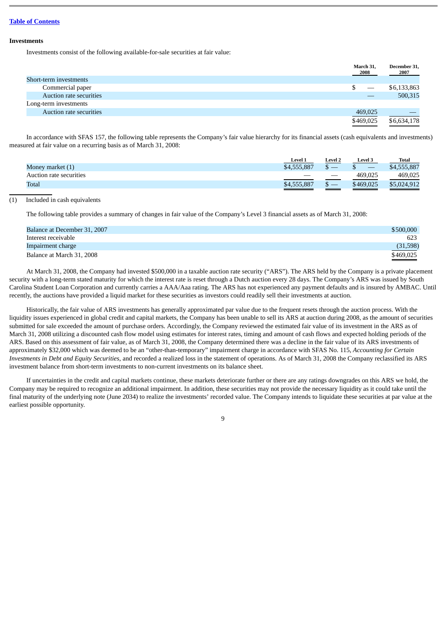#### **Investments**

Investments consist of the following available-for-sale securities at fair value:

|                         | March 31,<br>2008 | December 31,<br>2007 |
|-------------------------|-------------------|----------------------|
| Short-term investments  |                   |                      |
| Commercial paper        |                   | \$6,133,863          |
| Auction rate securities |                   | 500,315              |
| Long-term investments   |                   |                      |
| Auction rate securities | 469,025           |                      |
|                         | \$469,025         | \$6,634,178          |

In accordance with SFAS 157, the following table represents the Company's fair value hierarchy for its financial assets (cash equivalents and investments) measured at fair value on a recurring basis as of March 31, 2008:

|                         | Level 1     | Level 2 | Level 3   | <b>Total</b> |
|-------------------------|-------------|---------|-----------|--------------|
| Money market (1)        | \$4,555,887 |         |           | \$4,555,887  |
| Auction rate securities |             |         | 469.025   | 469,025      |
| <b>Total</b>            | \$4,555,887 |         | \$469,025 | \$5,024,912  |

(1) Included in cash equivalents

The following table provides a summary of changes in fair value of the Company's Level 3 financial assets as of March 31, 2008:

| Balance at December 31, 2007 | \$500,000 |
|------------------------------|-----------|
| Interest receivable          | 623       |
| Impairment charge            | (31,598)  |
| Balance at March 31, 2008    | \$469,025 |

At March 31, 2008, the Company had invested \$500,000 in a taxable auction rate security ("ARS"). The ARS held by the Company is a private placement security with a long-term stated maturity for which the interest rate is reset through a Dutch auction every 28 days. The Company's ARS was issued by South Carolina Student Loan Corporation and currently carries a AAA/Aaa rating. The ARS has not experienced any payment defaults and is insured by AMBAC. Until recently, the auctions have provided a liquid market for these securities as investors could readily sell their investments at auction.

Historically, the fair value of ARS investments has generally approximated par value due to the frequent resets through the auction process. With the liquidity issues experienced in global credit and capital markets, the Company has been unable to sell its ARS at auction during 2008, as the amount of securities submitted for sale exceeded the amount of purchase orders. Accordingly, the Company reviewed the estimated fair value of its investment in the ARS as of March 31, 2008 utilizing a discounted cash flow model using estimates for interest rates, timing and amount of cash flows and expected holding periods of the ARS. Based on this assessment of fair value, as of March 31, 2008, the Company determined there was a decline in the fair value of its ARS investments of approximately \$32,000 which was deemed to be an "other-than-temporary" impairment charge in accordance with SFAS No. 115, *Accounting for Certain Investments in Debt and Equity Securities*, and recorded a realized loss in the statement of operations. As of March 31, 2008 the Company reclassified its ARS investment balance from short-term investments to non-current investments on its balance sheet.

If uncertainties in the credit and capital markets continue, these markets deteriorate further or there are any ratings downgrades on this ARS we hold, the Company may be required to recognize an additional impairment. In addition, these securities may not provide the necessary liquidity as it could take until the final maturity of the underlying note (June 2034) to realize the investments' recorded value. The Company intends to liquidate these securities at par value at the earliest possible opportunity.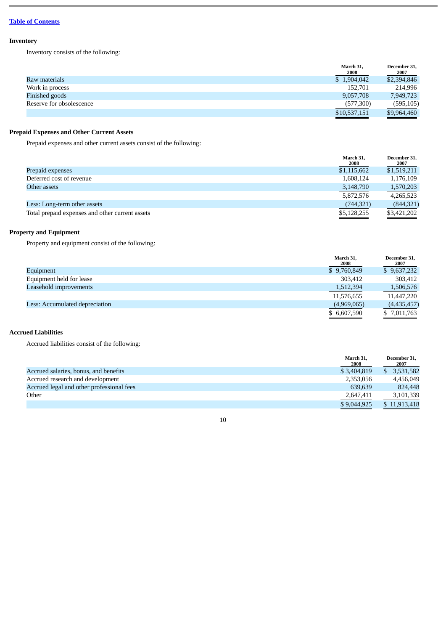## **Inventory**

Inventory consists of the following:

|                          | March 31.<br>2008 | December 31,<br>2007 |
|--------------------------|-------------------|----------------------|
| Raw materials            | \$1,904,042       | \$2,394,846          |
| Work in process          | 152,701           | 214,996              |
| Finished goods           | 9,057,708         | 7,949,723            |
| Reserve for obsolescence | (577,300)         | (595, 105)           |
|                          | \$10,537,151      | \$9,964,460          |

## **Prepaid Expenses and Other Current Assets**

Prepaid expenses and other current assets consist of the following:

|                                                 | March 31,<br>2008 | December 31,<br>2007 |
|-------------------------------------------------|-------------------|----------------------|
| Prepaid expenses                                | \$1,115,662       | \$1,519,211          |
| Deferred cost of revenue                        | 1,608,124         | 1,176,109            |
| Other assets                                    | 3,148,790         | 1,570,203            |
|                                                 | 5,872,576         | 4,265,523            |
| Less: Long-term other assets                    | (744, 321)        | (844, 321)           |
| Total prepaid expenses and other current assets | \$5,128,255       | \$3,421,202          |

## **Property and Equipment**

Property and equipment consist of the following:

|                                | March 31,<br>2008 | December 31,<br>2007 |
|--------------------------------|-------------------|----------------------|
| Equipment                      | \$9,760,849       | \$9,637,232          |
| Equipment held for lease       | 303,412           | 303,412              |
| Leasehold improvements         | 1,512,394         | 1,506,576            |
|                                | 11,576,655        | 11,447,220           |
| Less: Accumulated depreciation | (4,969,065)       | (4,435,457)          |
|                                | \$ 6,607,590      | \$ 7,011,763         |

## **Accrued Liabilities**

Accrued liabilities consist of the following:

|                                           | March 31,<br>2008 | December 31,<br>2007 |
|-------------------------------------------|-------------------|----------------------|
| Accrued salaries, bonus, and benefits     | \$3,404,819       | 3,531,582            |
| Accrued research and development          | 2,353,056         | 4,456,049            |
| Accrued legal and other professional fees | 639.639           | 824,448              |
| Other                                     | 2,647,411         | 3,101,339            |
|                                           | \$9,044,925       | \$11,913,418         |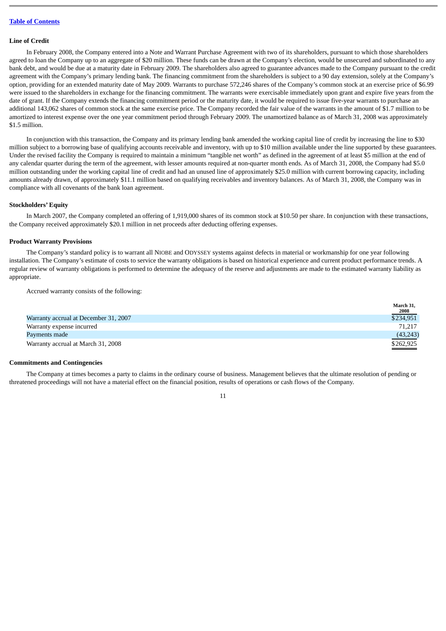#### **Line of Credit**

In February 2008, the Company entered into a Note and Warrant Purchase Agreement with two of its shareholders, pursuant to which those shareholders agreed to loan the Company up to an aggregate of \$20 million. These funds can be drawn at the Company's election, would be unsecured and subordinated to any bank debt, and would be due at a maturity date in February 2009. The shareholders also agreed to guarantee advances made to the Company pursuant to the credit agreement with the Company's primary lending bank. The financing commitment from the shareholders is subject to a 90 day extension, solely at the Company's option, providing for an extended maturity date of May 2009. Warrants to purchase 572,246 shares of the Company's common stock at an exercise price of \$6.99 were issued to the shareholders in exchange for the financing commitment. The warrants were exercisable immediately upon grant and expire five years from the date of grant. If the Company extends the financing commitment period or the maturity date, it would be required to issue five-year warrants to purchase an additional 143,062 shares of common stock at the same exercise price. The Company recorded the fair value of the warrants in the amount of \$1.7 million to be amortized to interest expense over the one year commitment period through February 2009. The unamortized balance as of March 31, 2008 was approximately \$1.5 million.

In conjunction with this transaction, the Company and its primary lending bank amended the working capital line of credit by increasing the line to \$30 million subject to a borrowing base of qualifying accounts receivable and inventory, with up to \$10 million available under the line supported by these guarantees. Under the revised facility the Company is required to maintain a minimum "tangible net worth" as defined in the agreement of at least \$5 million at the end of any calendar quarter during the term of the agreement, with lesser amounts required at non-quarter month ends. As of March 31, 2008, the Company had \$5.0 million outstanding under the working capital line of credit and had an unused line of approximately \$25.0 million with current borrowing capacity, including amounts already drawn, of approximately \$11.1 million based on qualifying receivables and inventory balances. As of March 31, 2008, the Company was in compliance with all covenants of the bank loan agreement.

#### **Stockholders' Equity**

In March 2007, the Company completed an offering of 1,919,000 shares of its common stock at \$10.50 per share. In conjunction with these transactions, the Company received approximately \$20.1 million in net proceeds after deducting offering expenses.

#### **Product Warranty Provisions**

The Company's standard policy is to warrant all NIOBE and ODYSSEY systems against defects in material or workmanship for one year following installation. The Company's estimate of costs to service the warranty obligations is based on historical experience and current product performance trends. A regular review of warranty obligations is performed to determine the adequacy of the reserve and adjustments are made to the estimated warranty liability as appropriate.

Accrued warranty consists of the following:

|                                       | March 31,<br>2008 |
|---------------------------------------|-------------------|
| Warranty accrual at December 31, 2007 | \$234,951         |
| Warranty expense incurred             | 71,217            |
| Payments made                         | (43, 243)         |
| Warranty accrual at March 31, 2008    | \$262,925         |

#### **Commitments and Contingencies**

The Company at times becomes a party to claims in the ordinary course of business. Management believes that the ultimate resolution of pending or threatened proceedings will not have a material effect on the financial position, results of operations or cash flows of the Company.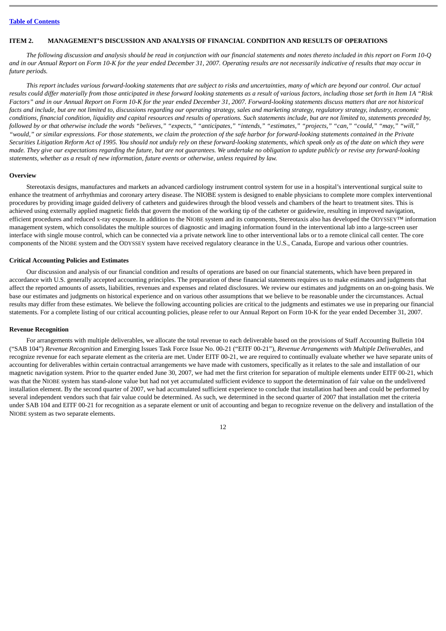#### <span id="page-11-0"></span>**ITEM 2. MANAGEMENT'S DISCUSSION AND ANALYSIS OF FINANCIAL CONDITION AND RESULTS OF OPERATIONS**

*The following discussion and analysis should be read in conjunction with our financial statements and notes thereto included in this report on Form 10-Q and in our Annual Report on Form 10-K for the year ended December 31, 2007. Operating results are not necessarily indicative of results that may occur in future periods.*

*This report includes various forward-looking statements that are subject to risks and uncertainties, many of which are beyond our control. Our actual results could differ materially from those anticipated in these forward looking statements as a result of various factors, including those set forth in Item 1A "Risk Factors" and in our Annual Report on Form 10-K for the year ended December 31, 2007. Forward-looking statements discuss matters that are not historical facts and include, but are not limited to, discussions regarding our operating strategy, sales and marketing strategy, regulatory strategy, industry, economic conditions, financial condition, liquidity and capital resources and results of operations. Such statements include, but are not limited to, statements preceded by, followed by or that otherwise include the words "believes," "expects," "anticipates," "intends," "estimates," "projects," "can," "could," "may," "will," "would," or similar expressions. For those statements, we claim the protection of the safe harbor for forward-looking statements contained in the Private Securities Litigation Reform Act of 1995. You should not unduly rely on these forward-looking statements, which speak only as of the date on which they were made. They give our expectations regarding the future, but are not guarantees. We undertake no obligation to update publicly or revise any forward-looking statements, whether as a result of new information, future events or otherwise, unless required by law.*

#### **Overview**

Stereotaxis designs, manufactures and markets an advanced cardiology instrument control system for use in a hospital's interventional surgical suite to enhance the treatment of arrhythmias and coronary artery disease. The NIOBE system is designed to enable physicians to complete more complex interventional procedures by providing image guided delivery of catheters and guidewires through the blood vessels and chambers of the heart to treatment sites. This is achieved using externally applied magnetic fields that govern the motion of the working tip of the catheter or guidewire, resulting in improved navigation, efficient procedures and reduced x-ray exposure. In addition to the NIOBE system and its components, Stereotaxis also has developed the ODYSSEY™ information management system, which consolidates the multiple sources of diagnostic and imaging information found in the interventional lab into a large-screen user interface with single mouse control, which can be connected via a private network line to other interventional labs or to a remote clinical call center. The core components of the NIOBE system and the ODYSSEY system have received regulatory clearance in the U.S., Canada, Europe and various other countries.

#### **Critical Accounting Policies and Estimates**

Our discussion and analysis of our financial condition and results of operations are based on our financial statements, which have been prepared in accordance with U.S. generally accepted accounting principles. The preparation of these financial statements requires us to make estimates and judgments that affect the reported amounts of assets, liabilities, revenues and expenses and related disclosures. We review our estimates and judgments on an on-going basis. We base our estimates and judgments on historical experience and on various other assumptions that we believe to be reasonable under the circumstances. Actual results may differ from these estimates. We believe the following accounting policies are critical to the judgments and estimates we use in preparing our financial statements. For a complete listing of our critical accounting policies, please refer to our Annual Report on Form 10-K for the year ended December 31, 2007.

#### **Revenue Recognition**

For arrangements with multiple deliverables, we allocate the total revenue to each deliverable based on the provisions of Staff Accounting Bulletin 104 ("SAB 104") *Revenue Recognition* and Emerging Issues Task Force Issue No. 00-21 ("EITF 00-21"), *Revenue Arrangements with Multiple Deliverables*, and recognize revenue for each separate element as the criteria are met. Under EITF 00-21, we are required to continually evaluate whether we have separate units of accounting for deliverables within certain contractual arrangements we have made with customers, specifically as it relates to the sale and installation of our magnetic navigation system. Prior to the quarter ended June 30, 2007, we had met the first criterion for separation of multiple elements under EITF 00-21, which was that the NIOBE system has stand-alone value but had not yet accumulated sufficient evidence to support the determination of fair value on the undelivered installation element. By the second quarter of 2007, we had accumulated sufficient experience to conclude that installation had been and could be performed by several independent vendors such that fair value could be determined. As such, we determined in the second quarter of 2007 that installation met the criteria under SAB 104 and EITF 00-21 for recognition as a separate element or unit of accounting and began to recognize revenue on the delivery and installation of the NIOBE system as two separate elements.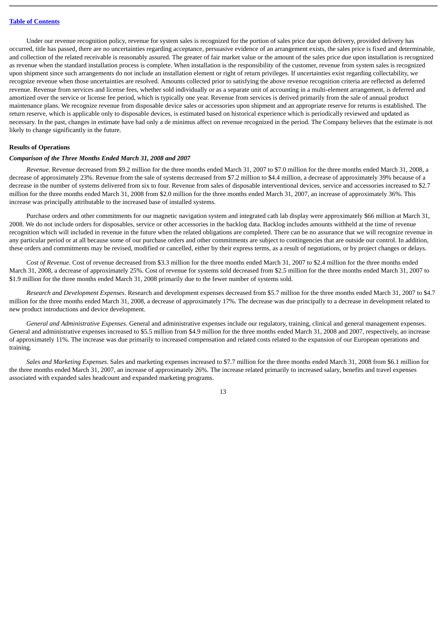Under our revenue recognition policy, revenue for system sales is recognized for the portion of sales price due upon delivery, provided delivery has occurred, title has passed, there are no uncertainties regarding acceptance, persuasive evidence of an arrangement exists, the sales price is fixed and determinable, and collection of the related receivable is reasonably assured. The greater of fair market value or the amount of the sales price due upon installation is recognized as revenue when the standard installation process is complete. When installation is the responsibility of the customer, revenue from system sales is recognized upon shipment since such arrangements do not include an installation element or right of return privileges. If uncertainties exist regarding collectability, we recognize revenue when those uncertainties are resolved. Amounts collected prior to satisfying the above revenue recognition criteria are reflected as deferred revenue. Revenue from services and license fees, whether sold individually or as a separate unit of accounting in a multi-element arrangement, is deferred and amortized over the service or license fee period, which is typically one year. Revenue from services is derived primarily from the sale of annual product maintenance plans. We recognize revenue from disposable device sales or accessories upon shipment and an appropriate reserve for returns is established. The return reserve, which is applicable only to disposable devices, is estimated based on historical experience which is periodically reviewed and updated as necessary. In the past, changes in estimate have had only a de minimus affect on revenue recognized in the period. The Company believes that the estimate is not likely to change significantly in the future.

#### **Results of Operations**

#### *Comparison of the Three Months Ended March 31, 2008 and 2007*

*Revenue*. Revenue decreased from \$9.2 million for the three months ended March 31, 2007 to \$7.0 million for the three months ended March 31, 2008, a decrease of approximately 23%. Revenue from the sale of systems decreased from \$7.2 million to \$4.4 million, a decrease of approximately 39% because of a decrease in the number of systems delivered from six to four. Revenue from sales of disposable interventional devices, service and accessories increased to \$2.7 million for the three months ended March 31, 2008 from \$2.0 million for the three months ended March 31, 2007, an increase of approximately 36%. This increase was principally attributable to the increased base of installed systems.

Purchase orders and other commitments for our magnetic navigation system and integrated cath lab display were approximately \$66 million at March 31, 2008. We do not include orders for disposables, service or other accessories in the backlog data. Backlog includes amounts withheld at the time of revenue recognition which will included in revenue in the future when the related obligations are completed. There can be no assurance that we will recognize revenue in any particular period or at all because some of our purchase orders and other commitments are subject to contingencies that are outside our control. In addition, these orders and commitments may be revised, modified or cancelled, either by their express terms, as a result of negotiations, or by project changes or delays.

*Cost of Revenue*. Cost of revenue decreased from \$3.3 million for the three months ended March 31, 2007 to \$2.4 million for the three months ended March 31, 2008, a decrease of approximately 25%. Cost of revenue for systems sold decreased from \$2.5 million for the three months ended March 31, 2007 to \$1.9 million for the three months ended March 31, 2008 primarily due to the fewer number of systems sold.

*Research and Development Expenses*. Research and development expenses decreased from \$5.7 million for the three months ended March 31, 2007 to \$4.7 million for the three months ended March 31, 2008, a decrease of approximately 17%. The decrease was due principally to a decrease in development related to new product introductions and device development.

*General and Administrative Expenses*. General and administrative expenses include our regulatory, training, clinical and general management expenses. General and administrative expenses increased to \$5.5 million from \$4.9 million for the three months ended March 31, 2008 and 2007, respectively, an increase of approximately 11%. The increase was due primarily to increased compensation and related costs related to the expansion of our European operations and training.

*Sales and Marketing Expenses*. Sales and marketing expenses increased to \$7.7 million for the three months ended March 31, 2008 from \$6.1 million for the three months ended March 31, 2007, an increase of approximately 26%. The increase related primarily to increased salary, benefits and travel expenses associated with expanded sales headcount and expanded marketing programs.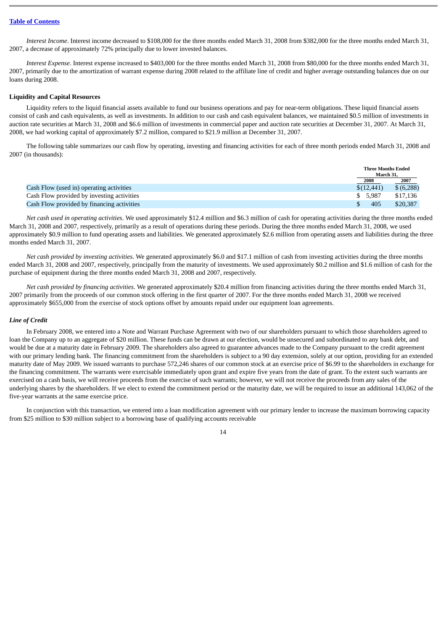*Interest Income*. Interest income decreased to \$108,000 for the three months ended March 31, 2008 from \$382,000 for the three months ended March 31, 2007, a decrease of approximately 72% principally due to lower invested balances.

*Interest Expense*. Interest expense increased to \$403,000 for the three months ended March 31, 2008 from \$80,000 for the three months ended March 31, 2007, primarily due to the amortization of warrant expense during 2008 related to the affiliate line of credit and higher average outstanding balances due on our loans during 2008.

#### **Liquidity and Capital Resources**

Liquidity refers to the liquid financial assets available to fund our business operations and pay for near-term obligations. These liquid financial assets consist of cash and cash equivalents, as well as investments. In addition to our cash and cash equivalent balances, we maintained \$0.5 million of investments in auction rate securities at March 31, 2008 and \$6.6 million of investments in commercial paper and auction rate securities at December 31, 2007. At March 31, 2008, we had working capital of approximately \$7.2 million, compared to \$21.9 million at December 31, 2007.

The following table summarizes our cash flow by operating, investing and financing activities for each of three month periods ended March 31, 2008 and 2007 (in thousands):

|                                            |             | <b>Three Months Ended</b><br>March 31. |  |
|--------------------------------------------|-------------|----------------------------------------|--|
|                                            | 2008        | 2007                                   |  |
| Cash Flow (used in) operating activities   | \$(12, 441) | \$ (6,288)                             |  |
| Cash Flow provided by investing activities | 5.987       | \$17,136                               |  |
| Cash Flow provided by financing activities | 405         | \$20,387                               |  |

*Net cash used in operating activities*. We used approximately \$12.4 million and \$6.3 million of cash for operating activities during the three months ended March 31, 2008 and 2007, respectively, primarily as a result of operations during these periods. During the three months ended March 31, 2008, we used approximately \$0.9 million to fund operating assets and liabilities. We generated approximately \$2.6 million from operating assets and liabilities during the three months ended March 31, 2007.

*Net cash provided by investing activities*. We generated approximately \$6.0 and \$17.1 million of cash from investing activities during the three months ended March 31, 2008 and 2007, respectively, principally from the maturity of investments. We used approximately \$0.2 million and \$1.6 million of cash for the purchase of equipment during the three months ended March 31, 2008 and 2007, respectively.

*Net cash provided by financing activities*. We generated approximately \$20.4 million from financing activities during the three months ended March 31, 2007 primarily from the proceeds of our common stock offering in the first quarter of 2007. For the three months ended March 31, 2008 we received approximately \$655,000 from the exercise of stock options offset by amounts repaid under our equipment loan agreements.

#### *Line of Credit*

In February 2008, we entered into a Note and Warrant Purchase Agreement with two of our shareholders pursuant to which those shareholders agreed to loan the Company up to an aggregate of \$20 million. These funds can be drawn at our election, would be unsecured and subordinated to any bank debt, and would be due at a maturity date in February 2009. The shareholders also agreed to guarantee advances made to the Company pursuant to the credit agreement with our primary lending bank. The financing commitment from the shareholders is subject to a 90 day extension, solely at our option, providing for an extended maturity date of May 2009. We issued warrants to purchase 572,246 shares of our common stock at an exercise price of \$6.99 to the shareholders in exchange for the financing commitment. The warrants were exercisable immediately upon grant and expire five years from the date of grant. To the extent such warrants are exercised on a cash basis, we will receive proceeds from the exercise of such warrants; however, we will not receive the proceeds from any sales of the underlying shares by the shareholders. If we elect to extend the commitment period or the maturity date, we will be required to issue an additional 143,062 of the five-year warrants at the same exercise price.

In conjunction with this transaction, we entered into a loan modification agreement with our primary lender to increase the maximum borrowing capacity from \$25 million to \$30 million subject to a borrowing base of qualifying accounts receivable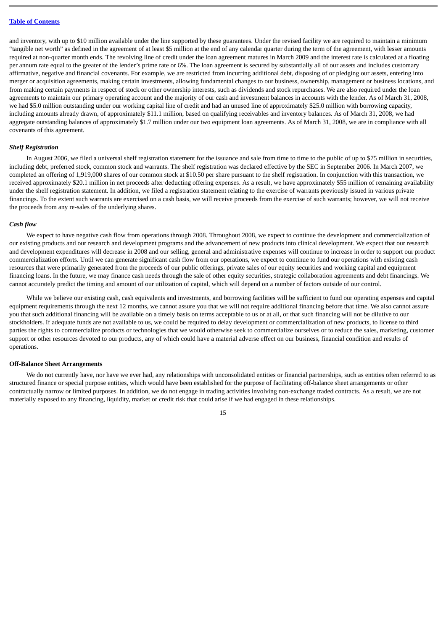and inventory, with up to \$10 million available under the line supported by these guarantees. Under the revised facility we are required to maintain a minimum "tangible net worth" as defined in the agreement of at least \$5 million at the end of any calendar quarter during the term of the agreement, with lesser amounts required at non-quarter month ends. The revolving line of credit under the loan agreement matures in March 2009 and the interest rate is calculated at a floating per annum rate equal to the greater of the lender's prime rate or 6%. The loan agreement is secured by substantially all of our assets and includes customary affirmative, negative and financial covenants. For example, we are restricted from incurring additional debt, disposing of or pledging our assets, entering into merger or acquisition agreements, making certain investments, allowing fundamental changes to our business, ownership, management or business locations, and from making certain payments in respect of stock or other ownership interests, such as dividends and stock repurchases. We are also required under the loan agreements to maintain our primary operating account and the majority of our cash and investment balances in accounts with the lender. As of March 31, 2008, we had \$5.0 million outstanding under our working capital line of credit and had an unused line of approximately \$25.0 million with borrowing capacity, including amounts already drawn, of approximately \$11.1 million, based on qualifying receivables and inventory balances. As of March 31, 2008, we had aggregate outstanding balances of approximately \$1.7 million under our two equipment loan agreements. As of March 31, 2008, we are in compliance with all covenants of this agreement.

#### *Shelf Registration*

In August 2006, we filed a universal shelf registration statement for the issuance and sale from time to time to the public of up to \$75 million in securities, including debt, preferred stock, common stock and warrants. The shelf registration was declared effective by the SEC in September 2006. In March 2007, we completed an offering of 1,919,000 shares of our common stock at \$10.50 per share pursuant to the shelf registration. In conjunction with this transaction, we received approximately \$20.1 million in net proceeds after deducting offering expenses. As a result, we have approximately \$55 million of remaining availability under the shelf registration statement. In addition, we filed a registration statement relating to the exercise of warrants previously issued in various private financings. To the extent such warrants are exercised on a cash basis, we will receive proceeds from the exercise of such warrants; however, we will not receive the proceeds from any re-sales of the underlying shares.

#### *Cash flow*

We expect to have negative cash flow from operations through 2008. Throughout 2008, we expect to continue the development and commercialization of our existing products and our research and development programs and the advancement of new products into clinical development. We expect that our research and development expenditures will decrease in 2008 and our selling, general and administrative expenses will continue to increase in order to support our product commercialization efforts. Until we can generate significant cash flow from our operations, we expect to continue to fund our operations with existing cash resources that were primarily generated from the proceeds of our public offerings, private sales of our equity securities and working capital and equipment financing loans. In the future, we may finance cash needs through the sale of other equity securities, strategic collaboration agreements and debt financings. We cannot accurately predict the timing and amount of our utilization of capital, which will depend on a number of factors outside of our control.

While we believe our existing cash, cash equivalents and investments, and borrowing facilities will be sufficient to fund our operating expenses and capital equipment requirements through the next 12 months, we cannot assure you that we will not require additional financing before that time. We also cannot assure you that such additional financing will be available on a timely basis on terms acceptable to us or at all, or that such financing will not be dilutive to our stockholders. If adequate funds are not available to us, we could be required to delay development or commercialization of new products, to license to third parties the rights to commercialize products or technologies that we would otherwise seek to commercialize ourselves or to reduce the sales, marketing, customer support or other resources devoted to our products, any of which could have a material adverse effect on our business, financial condition and results of operations.

#### **Off-Balance Sheet Arrangements**

We do not currently have, nor have we ever had, any relationships with unconsolidated entities or financial partnerships, such as entities often referred to as structured finance or special purpose entities, which would have been established for the purpose of facilitating off-balance sheet arrangements or other contractually narrow or limited purposes. In addition, we do not engage in trading activities involving non-exchange traded contracts. As a result, we are not materially exposed to any financing, liquidity, market or credit risk that could arise if we had engaged in these relationships.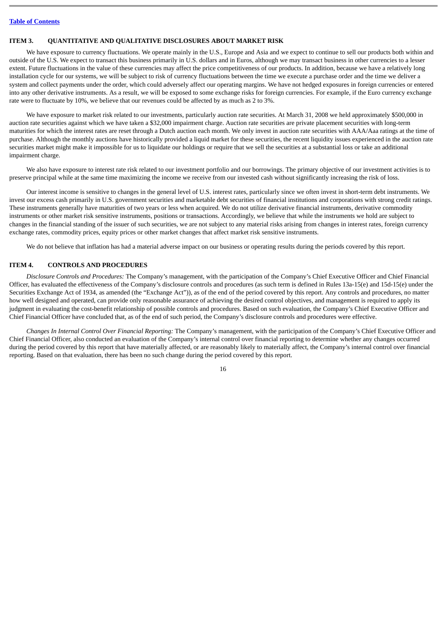#### <span id="page-15-0"></span>**ITEM 3. QUANTITATIVE AND QUALITATIVE DISCLOSURES ABOUT MARKET RISK**

We have exposure to currency fluctuations. We operate mainly in the U.S., Europe and Asia and we expect to continue to sell our products both within and outside of the U.S. We expect to transact this business primarily in U.S. dollars and in Euros, although we may transact business in other currencies to a lesser extent. Future fluctuations in the value of these currencies may affect the price competitiveness of our products. In addition, because we have a relatively long installation cycle for our systems, we will be subject to risk of currency fluctuations between the time we execute a purchase order and the time we deliver a system and collect payments under the order, which could adversely affect our operating margins. We have not hedged exposures in foreign currencies or entered into any other derivative instruments. As a result, we will be exposed to some exchange risks for foreign currencies. For example, if the Euro currency exchange rate were to fluctuate by 10%, we believe that our revenues could be affected by as much as 2 to 3%.

We have exposure to market risk related to our investments, particularly auction rate securities. At March 31, 2008 we held approximately \$500,000 in auction rate securities against which we have taken a \$32,000 impairment charge. Auction rate securities are private placement securities with long-term maturities for which the interest rates are reset through a Dutch auction each month. We only invest in auction rate securities with AAA/Aaa ratings at the time of purchase. Although the monthly auctions have historically provided a liquid market for these securities, the recent liquidity issues experienced in the auction rate securities market might make it impossible for us to liquidate our holdings or require that we sell the securities at a substantial loss or take an additional impairment charge.

We also have exposure to interest rate risk related to our investment portfolio and our borrowings. The primary objective of our investment activities is to preserve principal while at the same time maximizing the income we receive from our invested cash without significantly increasing the risk of loss.

Our interest income is sensitive to changes in the general level of U.S. interest rates, particularly since we often invest in short-term debt instruments. We invest our excess cash primarily in U.S. government securities and marketable debt securities of financial institutions and corporations with strong credit ratings. These instruments generally have maturities of two years or less when acquired. We do not utilize derivative financial instruments, derivative commodity instruments or other market risk sensitive instruments, positions or transactions. Accordingly, we believe that while the instruments we hold are subject to changes in the financial standing of the issuer of such securities, we are not subject to any material risks arising from changes in interest rates, foreign currency exchange rates, commodity prices, equity prices or other market changes that affect market risk sensitive instruments.

We do not believe that inflation has had a material adverse impact on our business or operating results during the periods covered by this report.

## <span id="page-15-1"></span>**ITEM 4. CONTROLS AND PROCEDURES**

*Disclosure Controls and Procedures:* The Company's management, with the participation of the Company's Chief Executive Officer and Chief Financial Officer, has evaluated the effectiveness of the Company's disclosure controls and procedures (as such term is defined in Rules 13a-15(e) and 15d-15(e) under the Securities Exchange Act of 1934, as amended (the "Exchange Act")), as of the end of the period covered by this report. Any controls and procedures, no matter how well designed and operated, can provide only reasonable assurance of achieving the desired control objectives, and management is required to apply its judgment in evaluating the cost-benefit relationship of possible controls and procedures. Based on such evaluation, the Company's Chief Executive Officer and Chief Financial Officer have concluded that, as of the end of such period, the Company's disclosure controls and procedures were effective.

*Changes In Internal Control Over Financial Reporting:* The Company's management, with the participation of the Company's Chief Executive Officer and Chief Financial Officer, also conducted an evaluation of the Company's internal control over financial reporting to determine whether any changes occurred during the period covered by this report that have materially affected, or are reasonably likely to materially affect, the Company's internal control over financial reporting. Based on that evaluation, there has been no such change during the period covered by this report.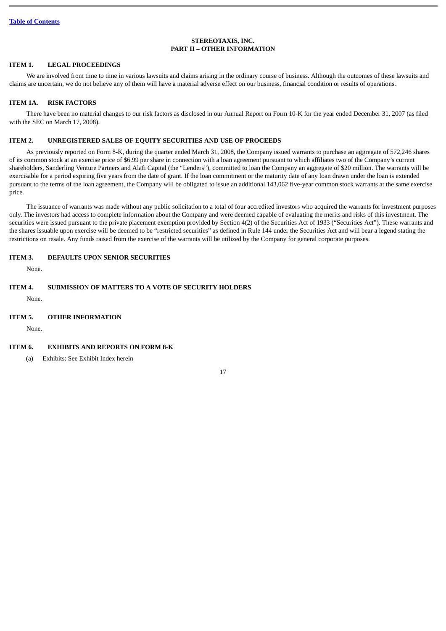#### **STEREOTAXIS, INC. PART II – OTHER INFORMATION**

## <span id="page-16-1"></span><span id="page-16-0"></span>**ITEM 1. LEGAL PROCEEDINGS**

We are involved from time to time in various lawsuits and claims arising in the ordinary course of business. Although the outcomes of these lawsuits and claims are uncertain, we do not believe any of them will have a material adverse effect on our business, financial condition or results of operations.

## <span id="page-16-2"></span>**ITEM 1A. RISK FACTORS**

There have been no material changes to our risk factors as disclosed in our Annual Report on Form 10-K for the year ended December 31, 2007 (as filed with the SEC on March 17, 2008).

#### <span id="page-16-3"></span>**ITEM 2. UNREGISTERED SALES OF EQUITY SECURITIES AND USE OF PROCEEDS**

As previously reported on Form 8-K, during the quarter ended March 31, 2008, the Company issued warrants to purchase an aggregate of 572,246 shares of its common stock at an exercise price of \$6.99 per share in connection with a loan agreement pursuant to which affiliates two of the Company's current shareholders, Sanderling Venture Partners and Alafi Capital (the "Lenders"), committed to loan the Company an aggregate of \$20 million. The warrants will be exercisable for a period expiring five years from the date of grant. If the loan commitment or the maturity date of any loan drawn under the loan is extended pursuant to the terms of the loan agreement, the Company will be obligated to issue an additional 143,062 five-year common stock warrants at the same exercise price.

The issuance of warrants was made without any public solicitation to a total of four accredited investors who acquired the warrants for investment purposes only. The investors had access to complete information about the Company and were deemed capable of evaluating the merits and risks of this investment. The securities were issued pursuant to the private placement exemption provided by Section 4(2) of the Securities Act of 1933 ("Securities Act"). These warrants and the shares issuable upon exercise will be deemed to be "restricted securities" as defined in Rule 144 under the Securities Act and will bear a legend stating the restrictions on resale. Any funds raised from the exercise of the warrants will be utilized by the Company for general corporate purposes.

#### <span id="page-16-4"></span>**ITEM 3. DEFAULTS UPON SENIOR SECURITIES**

None.

## <span id="page-16-5"></span>**ITEM 4. SUBMISSION OF MATTERS TO A VOTE OF SECURITY HOLDERS**

None.

#### <span id="page-16-6"></span>**ITEM 5. OTHER INFORMATION**

None.

## <span id="page-16-7"></span>**ITEM 6. EXHIBITS AND REPORTS ON FORM 8-K**

(a) Exhibits: See Exhibit Index herein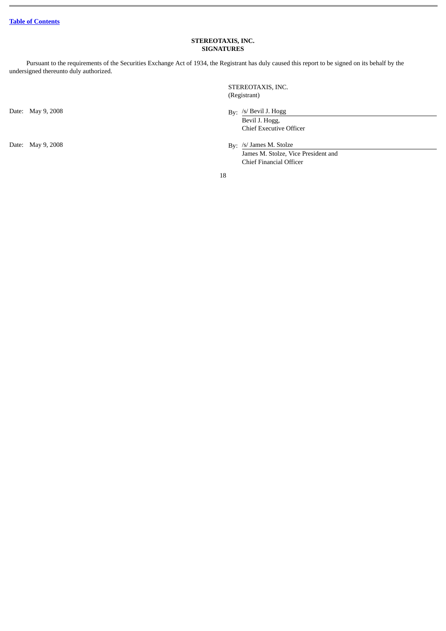## **STEREOTAXIS, INC. SIGNATURES**

<span id="page-17-0"></span>Pursuant to the requirements of the Securities Exchange Act of 1934, the Registrant has duly caused this report to be signed on its behalf by the undersigned thereunto duly authorized.

Date: May 9, 2008 By: /s/ James M. Stolze

STEREOTAXIS, INC. (Registrant)

Date: May 9, 2008 By: /s/ Bevil J. Hogg

Bevil J. Hogg, Chief Executive Officer

James M. Stolze, Vice President and Chief Financial Officer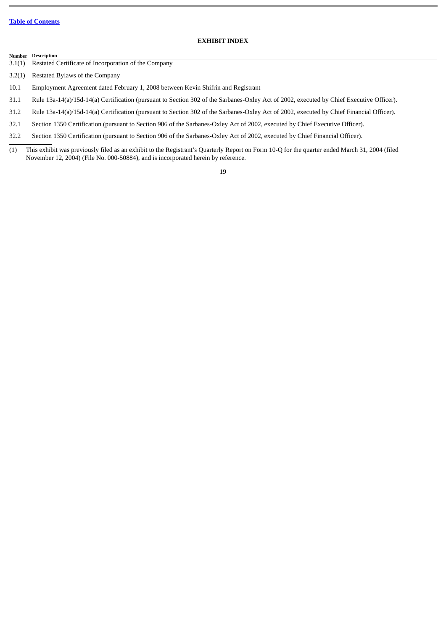## **EXHIBIT INDEX**

<span id="page-18-0"></span>**<u>Number</u> Description**<br>**B Restated C** Restated Certificate of Incorporation of the Company

3.2(1) Restated Bylaws of the Company

10.1 Employment Agreement dated February 1, 2008 between Kevin Shifrin and Registrant

31.1 Rule 13a-14(a)/15d-14(a) Certification (pursuant to Section 302 of the Sarbanes-Oxley Act of 2002, executed by Chief Executive Officer).

31.2 Rule 13a-14(a)/15d-14(a) Certification (pursuant to Section 302 of the Sarbanes-Oxley Act of 2002, executed by Chief Financial Officer).

32.1 Section 1350 Certification (pursuant to Section 906 of the Sarbanes-Oxley Act of 2002, executed by Chief Executive Officer).

32.2 Section 1350 Certification (pursuant to Section 906 of the Sarbanes-Oxley Act of 2002, executed by Chief Financial Officer).

(1) This exhibit was previously filed as an exhibit to the Registrant's Quarterly Report on Form 10-Q for the quarter ended March 31, 2004 (filed November 12, 2004) (File No. 000-50884), and is incorporated herein by reference.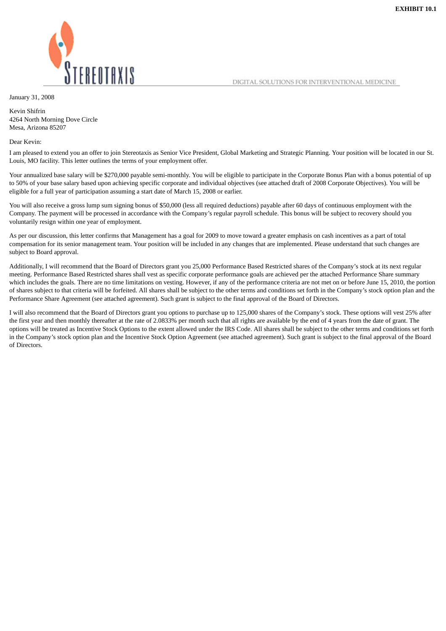

DIGITAL SOLUTIONS FOR INTERVENTIONAL MEDICINE

January 31, 2008

Kevin Shifrin 4264 North Morning Dove Circle Mesa, Arizona 85207

Dear Kevin:

I am pleased to extend you an offer to join Stereotaxis as Senior Vice President, Global Marketing and Strategic Planning. Your position will be located in our St. Louis, MO facility. This letter outlines the terms of your employment offer.

Your annualized base salary will be \$270,000 payable semi-monthly. You will be eligible to participate in the Corporate Bonus Plan with a bonus potential of up to 50% of your base salary based upon achieving specific corporate and individual objectives (see attached draft of 2008 Corporate Objectives). You will be eligible for a full year of participation assuming a start date of March 15, 2008 or earlier.

You will also receive a gross lump sum signing bonus of \$50,000 (less all required deductions) payable after 60 days of continuous employment with the Company. The payment will be processed in accordance with the Company's regular payroll schedule. This bonus will be subject to recovery should you voluntarily resign within one year of employment.

As per our discussion, this letter confirms that Management has a goal for 2009 to move toward a greater emphasis on cash incentives as a part of total compensation for its senior management team. Your position will be included in any changes that are implemented. Please understand that such changes are subject to Board approval.

Additionally, I will recommend that the Board of Directors grant you 25,000 Performance Based Restricted shares of the Company's stock at its next regular meeting. Performance Based Restricted shares shall vest as specific corporate performance goals are achieved per the attached Performance Share summary which includes the goals*.* There are no time limitations on vesting. However, if any of the performance criteria are not met on or before June 15, 2010, the portion of shares subject to that criteria will be forfeited. All shares shall be subject to the other terms and conditions set forth in the Company's stock option plan and the Performance Share Agreement (see attached agreement). Such grant is subject to the final approval of the Board of Directors.

I will also recommend that the Board of Directors grant you options to purchase up to 125,000 shares of the Company's stock. These options will vest 25% after the first year and then monthly thereafter at the rate of 2.0833% per month such that all rights are available by the end of 4 years from the date of grant. The options will be treated as Incentive Stock Options to the extent allowed under the IRS Code. All shares shall be subject to the other terms and conditions set forth in the Company's stock option plan and the Incentive Stock Option Agreement (see attached agreement)*.* Such grant is subject to the final approval of the Board of Directors.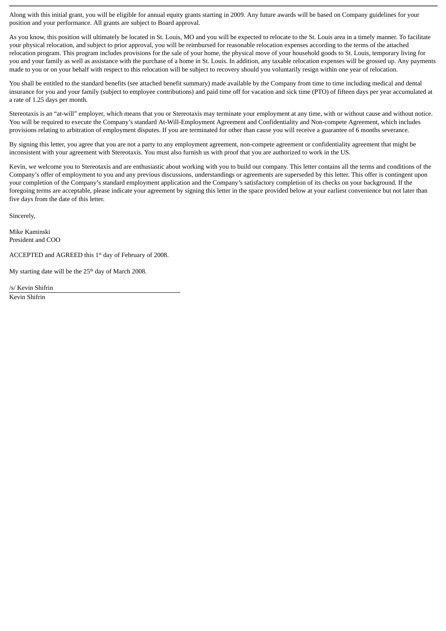Along with this initial grant, you will be eligible for annual equity grants starting in 2009. Any future awards will be based on Company guidelines for your position and your performance. All grants are subject to Board approval.

As you know, this position will ultimately be located in St. Louis, MO and you will be expected to relocate to the St. Louis area in a timely manner. To facilitate your physical relocation, and subject to prior approval, you will be reimbursed for reasonable relocation expenses according to the terms of the attached relocation program. This program includes provisions for the sale of your home, the physical move of your household goods to St. Louis, temporary living for you and your family as well as assistance with the purchase of a home in St. Louis. In addition, any taxable relocation expenses will be grossed up. Any payments made to you or on your behalf with respect to this relocation will be subject to recovery should you voluntarily resign within one year of relocation.

You shall be entitled to the standard benefits (see attached benefit summary) made available by the Company from time to time including medical and dental insurance for you and your family (subject to employee contributions) and paid time off for vacation and sick time (PTO) of fifteen days per year accumulated at a rate of 1.25 days per month.

Stereotaxis is an "at-will" employer, which means that you or Stereotaxis may terminate your employment at any time, with or without cause and without notice. You will be required to execute the Company's standard At-Will-Employment Agreement and Confidentiality and Non-compete Agreement, which includes provisions relating to arbitration of employment disputes. If you are terminated for other than cause you will receive a guarantee of 6 months severance.

By signing this letter, you agree that you are not a party to any employment agreement, non-compete agreement or confidentiality agreement that might be inconsistent with your agreement with Stereotaxis. You must also furnish us with proof that you are authorized to work in the US.

Kevin, we welcome you to Stereotaxis and are enthusiastic about working with you to build our company. This letter contains all the terms and conditions of the Company's offer of employment to you and any previous discussions, understandings or agreements are superseded by this letter. This offer is contingent upon your completion of the Company's standard employment application and the Company's satisfactory completion of its checks on your background. If the foregoing terms are acceptable, please indicate your agreement by signing this letter in the space provided below at your earliest convenience but not later than five days from the date of this letter.

Sincerely,

Mike Kaminski President and COO

ACCEPTED and AGREED this 1<sup>st</sup> day of February of 2008.

My starting date will be the 25<sup>th</sup> day of March 2008.

/s/ Kevin Shifrin

Kevin Shifrin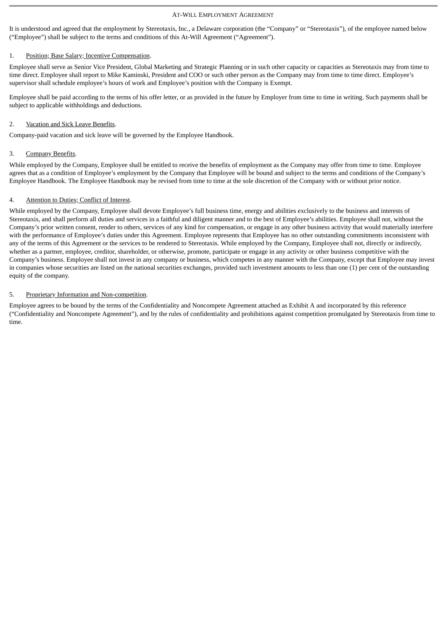#### AT-WILL EMPLOYMENT AGREEMENT

It is understood and agreed that the employment by Stereotaxis, Inc., a Delaware corporation (the "Company" or "Stereotaxis"), of the employee named below ("Employee") shall be subject to the terms and conditions of this At-Will Agreement ("Agreement").

## 1. Position; Base Salary; Incentive Compensation.

Employee shall serve as Senior Vice President, Global Marketing and Strategic Planning or in such other capacity or capacities as Stereotaxis may from time to time direct. Employee shall report to Mike Kaminski, President and COO or such other person as the Company may from time to time direct. Employee's supervisor shall schedule employee's hours of work and Employee's position with the Company is Exempt.

Employee shall be paid according to the terms of his offer letter, or as provided in the future by Employer from time to time in writing. Such payments shall be subject to applicable withholdings and deductions.

## 2. Vacation and Sick Leave Benefits.

Company-paid vacation and sick leave will be governed by the Employee Handbook.

## 3. Company Benefits.

While employed by the Company, Employee shall be entitled to receive the benefits of employment as the Company may offer from time to time. Employee agrees that as a condition of Employee's employment by the Company that Employee will be bound and subject to the terms and conditions of the Company's Employee Handbook. The Employee Handbook may be revised from time to time at the sole discretion of the Company with or without prior notice.

## 4. Attention to Duties; Conflict of Interest.

While employed by the Company, Employee shall devote Employee's full business time, energy and abilities exclusively to the business and interests of Stereotaxis, and shall perform all duties and services in a faithful and diligent manner and to the best of Employee's abilities. Employee shall not, without the Company's prior written consent, render to others, services of any kind for compensation, or engage in any other business activity that would materially interfere with the performance of Employee's duties under this Agreement. Employee represents that Employee has no other outstanding commitments inconsistent with any of the terms of this Agreement or the services to be rendered to Stereotaxis. While employed by the Company, Employee shall not, directly or indirectly, whether as a partner, employee, creditor, shareholder, or otherwise, promote, participate or engage in any activity or other business competitive with the Company's business. Employee shall not invest in any company or business, which competes in any manner with the Company, except that Employee may invest in companies whose securities are listed on the national securities exchanges, provided such investment amounts to less than one (1) per cent of the outstanding equity of the company.

## 5. Proprietary Information and Non-competition.

Employee agrees to be bound by the terms of the Confidentiality and Noncompete Agreement attached as Exhibit A and incorporated by this reference ("Confidentiality and Noncompete Agreement"), and by the rules of confidentiality and prohibitions against competition promulgated by Stereotaxis from time to time.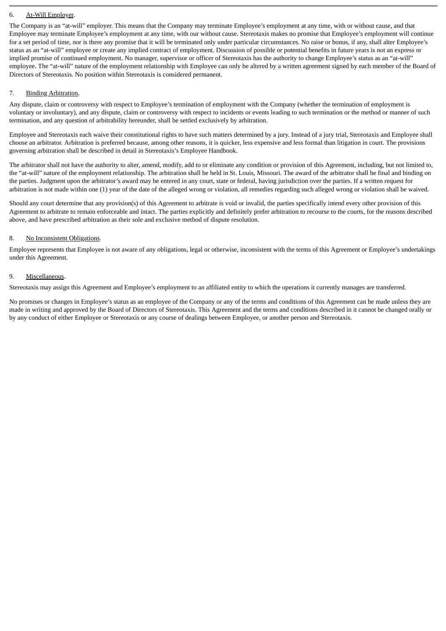## 6. At-Will Employer.

The Company is an "at-will" employer. This means that the Company may terminate Employee's employment at any time, with or without cause, and that Employee may terminate Employee's employment at any time, with our without cause. Stereotaxis makes no promise that Employee's employment will continue for a set period of time, nor is there any promise that it will be terminated only under particular circumstances. No raise or bonus, if any, shall alter Employee's status as an "at-will" employee or create any implied contract of employment. Discussion of possible or potential benefits in future years is not an express or implied promise of continued employment. No manager, supervisor or officer of Stereotaxis has the authority to change Employee's status as an "at-will" employee. The "at-will" nature of the employment relationship with Employee can only be altered by a written agreement signed by each member of the Board of Directors of Stereotaxis. No position within Stereotaxis is considered permanent.

## 7. Binding Arbitration.

Any dispute, claim or controversy with respect to Employee's termination of employment with the Company (whether the termination of employment is voluntary or involuntary), and any dispute, claim or controversy with respect to incidents or events leading to such termination or the method or manner of such termination, and any question of arbitrability hereunder, shall be settled exclusively by arbitration.

Employee and Stereotaxis each waive their constitutional rights to have such matters determined by a jury. Instead of a jury trial, Stereotaxis and Employee shall choose an arbitrator. Arbitration is preferred because, among other reasons, it is quicker, less expensive and less formal than litigation in court. The provisions governing arbitration shall be described in detail in Stereotaxis's Employee Handbook.

The arbitrator shall not have the authority to alter, amend, modify, add to or eliminate any condition or provision of this Agreement, including, but not limited to, the "at-will" nature of the employment relationship. The arbitration shall be held in St. Louis, Missouri. The award of the arbitrator shall be final and binding on the parties. Judgment upon the arbitrator's award may be entered in any court, state or federal, having jurisdiction over the parties. If a written request for arbitration is not made within one (1) year of the date of the alleged wrong or violation, all remedies regarding such alleged wrong or violation shall be waived.

Should any court determine that any provision(s) of this Agreement to arbitrate is void or invalid, the parties specifically intend every other provision of this Agreement to arbitrate to remain enforceable and intact. The parties explicitly and definitely prefer arbitration to recourse to the courts, for the reasons described above, and have prescribed arbitration as their sole and exclusive method of dispute resolution.

## 8. No Inconsistent Obligations.

Employee represents that Employee is not aware of any obligations, legal or otherwise, inconsistent with the terms of this Agreement or Employee's undertakings under this Agreement.

## 9. Miscellaneous.

Stereotaxis may assign this Agreement and Employee's employment to an affiliated entity to which the operations it currently manages are transferred.

No promises or changes in Employee's status as an employee of the Company or any of the terms and conditions of this Agreement can be made unless they are made in writing and approved by the Board of Directors of Stereotaxis. This Agreement and the terms and conditions described in it cannot be changed orally or by any conduct of either Employee or Stereotaxis or any course of dealings between Employee, or another person and Stereotaxis.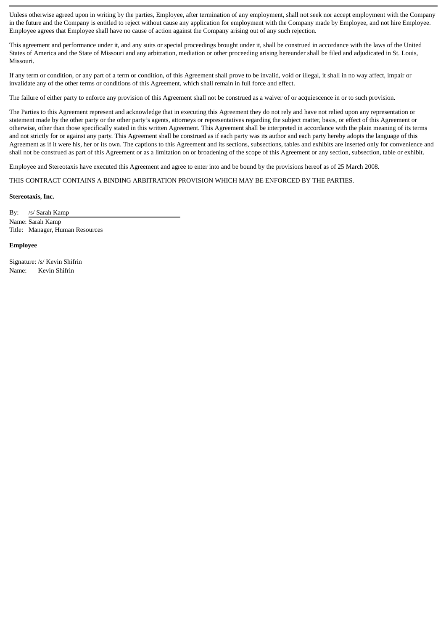Unless otherwise agreed upon in writing by the parties, Employee, after termination of any employment, shall not seek nor accept employment with the Company in the future and the Company is entitled to reject without cause any application for employment with the Company made by Employee, and not hire Employee. Employee agrees that Employee shall have no cause of action against the Company arising out of any such rejection.

This agreement and performance under it, and any suits or special proceedings brought under it, shall be construed in accordance with the laws of the United States of America and the State of Missouri and any arbitration, mediation or other proceeding arising hereunder shall be filed and adjudicated in St. Louis, Missouri.

If any term or condition, or any part of a term or condition, of this Agreement shall prove to be invalid, void or illegal, it shall in no way affect, impair or invalidate any of the other terms or conditions of this Agreement, which shall remain in full force and effect.

The failure of either party to enforce any provision of this Agreement shall not be construed as a waiver of or acquiescence in or to such provision.

The Parties to this Agreement represent and acknowledge that in executing this Agreement they do not rely and have not relied upon any representation or statement made by the other party or the other party's agents, attorneys or representatives regarding the subject matter, basis, or effect of this Agreement or otherwise, other than those specifically stated in this written Agreement. This Agreement shall be interpreted in accordance with the plain meaning of its terms and not strictly for or against any party. This Agreement shall be construed as if each party was its author and each party hereby adopts the language of this Agreement as if it were his, her or its own. The captions to this Agreement and its sections, subsections, tables and exhibits are inserted only for convenience and shall not be construed as part of this Agreement or as a limitation on or broadening of the scope of this Agreement or any section, subsection, table or exhibit.

Employee and Stereotaxis have executed this Agreement and agree to enter into and be bound by the provisions hereof as of 25 March 2008.

THIS CONTRACT CONTAINS A BINDING ARBITRATION PROVISION WHICH MAY BE ENFORCED BY THE PARTIES.

## **Stereotaxis, Inc.**

By: /s/ Sarah Kamp Name: Sarah Kamp Title: Manager, Human Resources

## **Employee**

Signature: /s/ Kevin Shifrin Name: Kevin Shifrin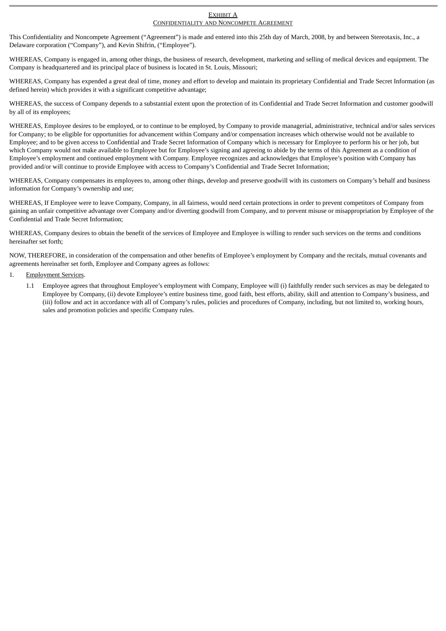#### EXHIBIT A CONFIDENTIALITY AND NONCOMPETE AGREEMENT

This Confidentiality and Noncompete Agreement ("Agreement") is made and entered into this 25th day of March, 2008, by and between Stereotaxis, Inc., a Delaware corporation ("Company"), and Kevin Shifrin, ("Employee").

WHEREAS, Company is engaged in, among other things, the business of research, development, marketing and selling of medical devices and equipment. The Company is headquartered and its principal place of business is located in St. Louis, Missouri;

WHEREAS, Company has expended a great deal of time, money and effort to develop and maintain its proprietary Confidential and Trade Secret Information (as defined herein) which provides it with a significant competitive advantage;

WHEREAS, the success of Company depends to a substantial extent upon the protection of its Confidential and Trade Secret Information and customer goodwill by all of its employees;

WHEREAS, Employee desires to be employed, or to continue to be employed, by Company to provide managerial, administrative, technical and/or sales services for Company; to be eligible for opportunities for advancement within Company and/or compensation increases which otherwise would not be available to Employee; and to be given access to Confidential and Trade Secret Information of Company which is necessary for Employee to perform his or her job, but which Company would not make available to Employee but for Employee's signing and agreeing to abide by the terms of this Agreement as a condition of Employee's employment and continued employment with Company. Employee recognizes and acknowledges that Employee's position with Company has provided and/or will continue to provide Employee with access to Company's Confidential and Trade Secret Information;

WHEREAS, Company compensates its employees to, among other things, develop and preserve goodwill with its customers on Company's behalf and business information for Company's ownership and use;

WHEREAS, If Employee were to leave Company, Company, in all fairness, would need certain protections in order to prevent competitors of Company from gaining an unfair competitive advantage over Company and/or diverting goodwill from Company, and to prevent misuse or misappropriation by Employee of the Confidential and Trade Secret Information;

WHEREAS, Company desires to obtain the benefit of the services of Employee and Employee is willing to render such services on the terms and conditions hereinafter set forth;

NOW, THEREFORE, in consideration of the compensation and other benefits of Employee's employment by Company and the recitals, mutual covenants and agreements hereinafter set forth, Employee and Company agrees as follows:

- 1. Employment Services.
	- 1.1 Employee agrees that throughout Employee's employment with Company, Employee will (i) faithfully render such services as may be delegated to Employee by Company, (ii) devote Employee's entire business time, good faith, best efforts, ability, skill and attention to Company's business, and (iii) follow and act in accordance with all of Company's rules, policies and procedures of Company, including, but not limited to, working hours, sales and promotion policies and specific Company rules.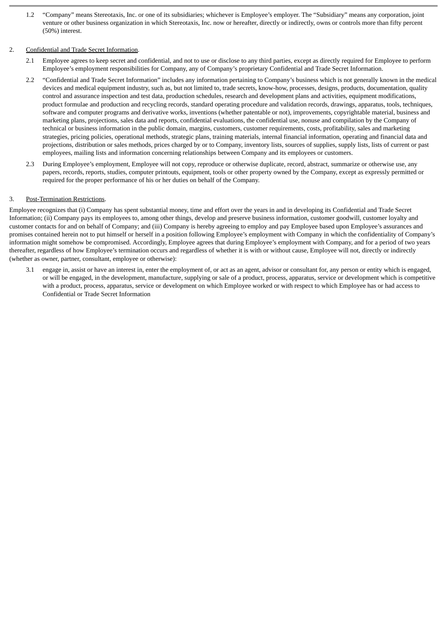1.2 "Company" means Stereotaxis, Inc. or one of its subsidiaries; whichever is Employee's employer. The "Subsidiary" means any corporation, joint venture or other business organization in which Stereotaxis, Inc. now or hereafter, directly or indirectly, owns or controls more than fifty percent (50%) interest.

## 2. Confidential and Trade Secret Information.

- 2.1 Employee agrees to keep secret and confidential, and not to use or disclose to any third parties, except as directly required for Employee to perform Employee's employment responsibilities for Company, any of Company's proprietary Confidential and Trade Secret Information.
- 2.2 "Confidential and Trade Secret Information" includes any information pertaining to Company's business which is not generally known in the medical devices and medical equipment industry, such as, but not limited to, trade secrets, know-how, processes, designs, products, documentation, quality control and assurance inspection and test data, production schedules, research and development plans and activities, equipment modifications, product formulae and production and recycling records, standard operating procedure and validation records, drawings, apparatus, tools, techniques, software and computer programs and derivative works, inventions (whether patentable or not), improvements, copyrightable material, business and marketing plans, projections, sales data and reports, confidential evaluations, the confidential use, nonuse and compilation by the Company of technical or business information in the public domain, margins, customers, customer requirements, costs, profitability, sales and marketing strategies, pricing policies, operational methods, strategic plans, training materials, internal financial information, operating and financial data and projections, distribution or sales methods, prices charged by or to Company, inventory lists, sources of supplies, supply lists, lists of current or past employees, mailing lists and information concerning relationships between Company and its employees or customers.
- 2.3 During Employee's employment, Employee will not copy, reproduce or otherwise duplicate, record, abstract, summarize or otherwise use, any papers, records, reports, studies, computer printouts, equipment, tools or other property owned by the Company, except as expressly permitted or required for the proper performance of his or her duties on behalf of the Company.

## 3. Post-Termination Restrictions.

Employee recognizes that (i) Company has spent substantial money, time and effort over the years in and in developing its Confidential and Trade Secret Information; (ii) Company pays its employees to, among other things, develop and preserve business information, customer goodwill, customer loyalty and customer contacts for and on behalf of Company; and (iii) Company is hereby agreeing to employ and pay Employee based upon Employee's assurances and promises contained herein not to put himself or herself in a position following Employee's employment with Company in which the confidentiality of Company's information might somehow be compromised. Accordingly, Employee agrees that during Employee's employment with Company, and for a period of two years thereafter, regardless of how Employee's termination occurs and regardless of whether it is with or without cause, Employee will not, directly or indirectly (whether as owner, partner, consultant, employee or otherwise):

3.1 engage in, assist or have an interest in, enter the employment of, or act as an agent, advisor or consultant for, any person or entity which is engaged, or will be engaged, in the development, manufacture, supplying or sale of a product, process, apparatus, service or development which is competitive with a product, process, apparatus, service or development on which Employee worked or with respect to which Employee has or had access to Confidential or Trade Secret Information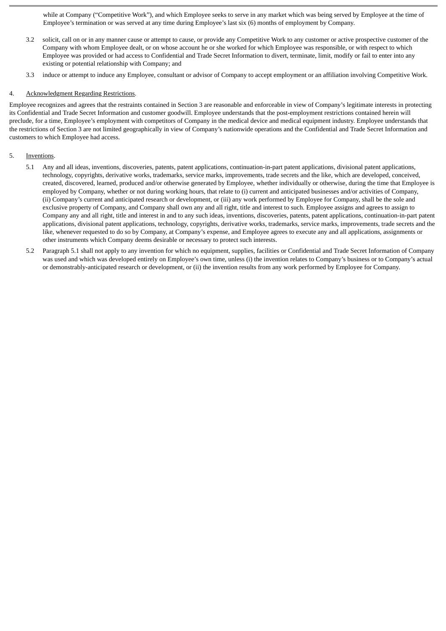while at Company ("Competitive Work"), and which Employee seeks to serve in any market which was being served by Employee at the time of Employee's termination or was served at any time during Employee's last six (6) months of employment by Company.

- 3.2 solicit, call on or in any manner cause or attempt to cause, or provide any Competitive Work to any customer or active prospective customer of the Company with whom Employee dealt, or on whose account he or she worked for which Employee was responsible, or with respect to which Employee was provided or had access to Confidential and Trade Secret Information to divert, terminate, limit, modify or fail to enter into any existing or potential relationship with Company; and
- 3.3 induce or attempt to induce any Employee, consultant or advisor of Company to accept employment or an affiliation involving Competitive Work.

## 4. Acknowledgment Regarding Restrictions.

Employee recognizes and agrees that the restraints contained in Section 3 are reasonable and enforceable in view of Company's legitimate interests in protecting its Confidential and Trade Secret Information and customer goodwill. Employee understands that the post-employment restrictions contained herein will preclude, for a time, Employee's employment with competitors of Company in the medical device and medical equipment industry. Employee understands that the restrictions of Section 3 are not limited geographically in view of Company's nationwide operations and the Confidential and Trade Secret Information and customers to which Employee had access.

## 5. Inventions.

- 5.1 Any and all ideas, inventions, discoveries, patents, patent applications, continuation-in-part patent applications, divisional patent applications, technology, copyrights, derivative works, trademarks, service marks, improvements, trade secrets and the like, which are developed, conceived, created, discovered, learned, produced and/or otherwise generated by Employee, whether individually or otherwise, during the time that Employee is employed by Company, whether or not during working hours, that relate to (i) current and anticipated businesses and/or activities of Company, (ii) Company's current and anticipated research or development, or (iii) any work performed by Employee for Company, shall be the sole and exclusive property of Company, and Company shall own any and all right, title and interest to such. Employee assigns and agrees to assign to Company any and all right, title and interest in and to any such ideas, inventions, discoveries, patents, patent applications, continuation-in-part patent applications, divisional patent applications, technology, copyrights, derivative works, trademarks, service marks, improvements, trade secrets and the like, whenever requested to do so by Company, at Company's expense, and Employee agrees to execute any and all applications, assignments or other instruments which Company deems desirable or necessary to protect such interests.
- 5.2 Paragraph 5.1 shall not apply to any invention for which no equipment, supplies, facilities or Confidential and Trade Secret Information of Company was used and which was developed entirely on Employee's own time, unless (i) the invention relates to Company's business or to Company's actual or demonstrably-anticipated research or development, or (ii) the invention results from any work performed by Employee for Company.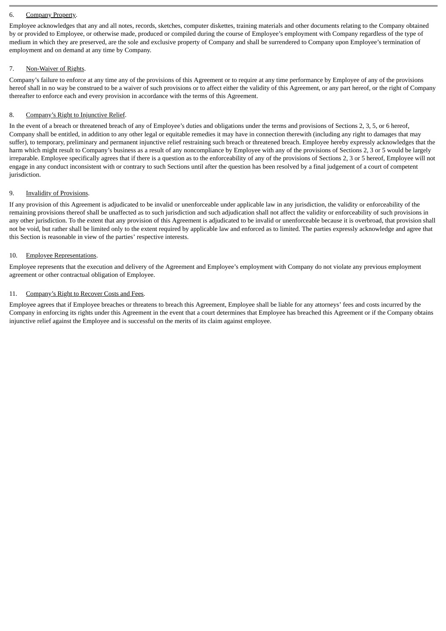## 6. Company Property.

Employee acknowledges that any and all notes, records, sketches, computer diskettes, training materials and other documents relating to the Company obtained by or provided to Employee, or otherwise made, produced or compiled during the course of Employee's employment with Company regardless of the type of medium in which they are preserved, are the sole and exclusive property of Company and shall be surrendered to Company upon Employee's termination of employment and on demand at any time by Company.

## 7. Non-Waiver of Rights.

Company's failure to enforce at any time any of the provisions of this Agreement or to require at any time performance by Employee of any of the provisions hereof shall in no way be construed to be a waiver of such provisions or to affect either the validity of this Agreement, or any part hereof, or the right of Company thereafter to enforce each and every provision in accordance with the terms of this Agreement.

## 8. Company's Right to Injunctive Relief.

In the event of a breach or threatened breach of any of Employee's duties and obligations under the terms and provisions of Sections 2, 3, 5, or 6 hereof, Company shall be entitled, in addition to any other legal or equitable remedies it may have in connection therewith (including any right to damages that may suffer), to temporary, preliminary and permanent injunctive relief restraining such breach or threatened breach. Employee hereby expressly acknowledges that the harm which might result to Company's business as a result of any noncompliance by Employee with any of the provisions of Sections 2, 3 or 5 would be largely irreparable. Employee specifically agrees that if there is a question as to the enforceability of any of the provisions of Sections 2, 3 or 5 hereof, Employee will not engage in any conduct inconsistent with or contrary to such Sections until after the question has been resolved by a final judgement of a court of competent jurisdiction.

## 9. Invalidity of Provisions.

If any provision of this Agreement is adjudicated to be invalid or unenforceable under applicable law in any jurisdiction, the validity or enforceability of the remaining provisions thereof shall be unaffected as to such jurisdiction and such adjudication shall not affect the validity or enforceability of such provisions in any other jurisdiction. To the extent that any provision of this Agreement is adjudicated to be invalid or unenforceable because it is overbroad, that provision shall not be void, but rather shall be limited only to the extent required by applicable law and enforced as to limited. The parties expressly acknowledge and agree that this Section is reasonable in view of the parties' respective interests.

## 10. Employee Representations.

Employee represents that the execution and delivery of the Agreement and Employee's employment with Company do not violate any previous employment agreement or other contractual obligation of Employee.

## 11. Company's Right to Recover Costs and Fees.

Employee agrees that if Employee breaches or threatens to breach this Agreement, Employee shall be liable for any attorneys' fees and costs incurred by the Company in enforcing its rights under this Agreement in the event that a court determines that Employee has breached this Agreement or if the Company obtains injunctive relief against the Employee and is successful on the merits of its claim against employee.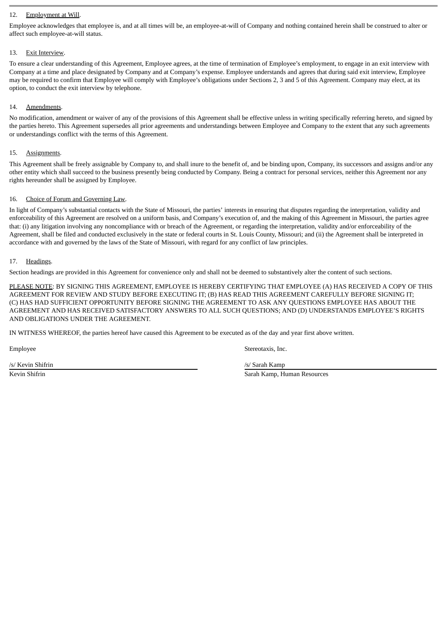## 12. Employment at Will.

Employee acknowledges that employee is, and at all times will be, an employee-at-will of Company and nothing contained herein shall be construed to alter or affect such employee-at-will status.

## 13. Exit Interview.

To ensure a clear understanding of this Agreement, Employee agrees, at the time of termination of Employee's employment, to engage in an exit interview with Company at a time and place designated by Company and at Company's expense. Employee understands and agrees that during said exit interview, Employee may be required to confirm that Employee will comply with Employee's obligations under Sections 2, 3 and 5 of this Agreement. Company may elect, at its option, to conduct the exit interview by telephone.

## 14. Amendments.

No modification, amendment or waiver of any of the provisions of this Agreement shall be effective unless in writing specifically referring hereto, and signed by the parties hereto. This Agreement supersedes all prior agreements and understandings between Employee and Company to the extent that any such agreements or understandings conflict with the terms of this Agreement.

## 15. Assignments.

This Agreement shall be freely assignable by Company to, and shall inure to the benefit of, and be binding upon, Company, its successors and assigns and/or any other entity which shall succeed to the business presently being conducted by Company. Being a contract for personal services, neither this Agreement nor any rights hereunder shall be assigned by Employee.

## 16. Choice of Forum and Governing Law.

In light of Company's substantial contacts with the State of Missouri, the parties' interests in ensuring that disputes regarding the interpretation, validity and enforceability of this Agreement are resolved on a uniform basis, and Company's execution of, and the making of this Agreement in Missouri, the parties agree that: (i) any litigation involving any noncompliance with or breach of the Agreement, or regarding the interpretation, validity and/or enforceability of the Agreement, shall be filed and conducted exclusively in the state or federal courts in St. Louis County, Missouri; and (ii) the Agreement shall be interpreted in accordance with and governed by the laws of the State of Missouri, with regard for any conflict of law principles.

## 17. Headings.

Section headings are provided in this Agreement for convenience only and shall not be deemed to substantively alter the content of such sections.

PLEASE NOTE: BY SIGNING THIS AGREEMENT, EMPLOYEE IS HEREBY CERTIFYING THAT EMPLOYEE (A) HAS RECEIVED A COPY OF THIS AGREEMENT FOR REVIEW AND STUDY BEFORE EXECUTING IT; (B) HAS READ THIS AGREEMENT CAREFULLY BEFORE SIGNING IT; (C) HAS HAD SUFFICIENT OPPORTUNITY BEFORE SIGNING THE AGREEMENT TO ASK ANY QUESTIONS EMPLOYEE HAS ABOUT THE AGREEMENT AND HAS RECEIVED SATISFACTORY ANSWERS TO ALL SUCH QUESTIONS; AND (D) UNDERSTANDS EMPLOYEE'S RIGHTS AND OBLIGATIONS UNDER THE AGREEMENT.

IN WITNESS WHEREOF, the parties hereof have caused this Agreement to be executed as of the day and year first above written.

Employee Stereotaxis, Inc.

/s/ Kevin Shifrin /s/ Sarah Kamp

Kevin Shifrin **Sarah Kamp, Human Resources** Sarah Kamp, Human Resources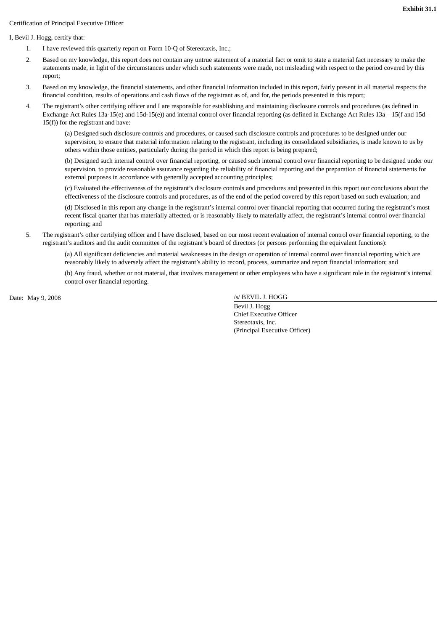## Certification of Principal Executive Officer

#### I, Bevil J. Hogg, certify that:

- 1. I have reviewed this quarterly report on Form 10-Q of Stereotaxis, Inc.;
- 2. Based on my knowledge, this report does not contain any untrue statement of a material fact or omit to state a material fact necessary to make the statements made, in light of the circumstances under which such statements were made, not misleading with respect to the period covered by this report;
- 3. Based on my knowledge, the financial statements, and other financial information included in this report, fairly present in all material respects the financial condition, results of operations and cash flows of the registrant as of, and for, the periods presented in this report;
- 4. The registrant's other certifying officer and I are responsible for establishing and maintaining disclosure controls and procedures (as defined in Exchange Act Rules 13a-15(e) and 15d-15(e)) and internal control over financial reporting (as defined in Exchange Act Rules 13a – 15(f and 15d – 15(f)) for the registrant and have:

(a) Designed such disclosure controls and procedures, or caused such disclosure controls and procedures to be designed under our supervision, to ensure that material information relating to the registrant, including its consolidated subsidiaries, is made known to us by others within those entities, particularly during the period in which this report is being prepared;

(b) Designed such internal control over financial reporting, or caused such internal control over financial reporting to be designed under our supervision, to provide reasonable assurance regarding the reliability of financial reporting and the preparation of financial statements for external purposes in accordance with generally accepted accounting principles;

(c) Evaluated the effectiveness of the registrant's disclosure controls and procedures and presented in this report our conclusions about the effectiveness of the disclosure controls and procedures, as of the end of the period covered by this report based on such evaluation; and

(d) Disclosed in this report any change in the registrant's internal control over financial reporting that occurred during the registrant's most recent fiscal quarter that has materially affected, or is reasonably likely to materially affect, the registrant's internal control over financial reporting; and

5. The registrant's other certifying officer and I have disclosed, based on our most recent evaluation of internal control over financial reporting, to the registrant's auditors and the audit committee of the registrant's board of directors (or persons performing the equivalent functions):

(a) All significant deficiencies and material weaknesses in the design or operation of internal control over financial reporting which are reasonably likely to adversely affect the registrant's ability to record, process, summarize and report financial information; and

(b) Any fraud, whether or not material, that involves management or other employees who have a significant role in the registrant's internal control over financial reporting.

Date: May 9, 2008 /s/ BEVIL J. HOGG

Bevil J. Hogg Chief Executive Officer Stereotaxis, Inc. (Principal Executive Officer)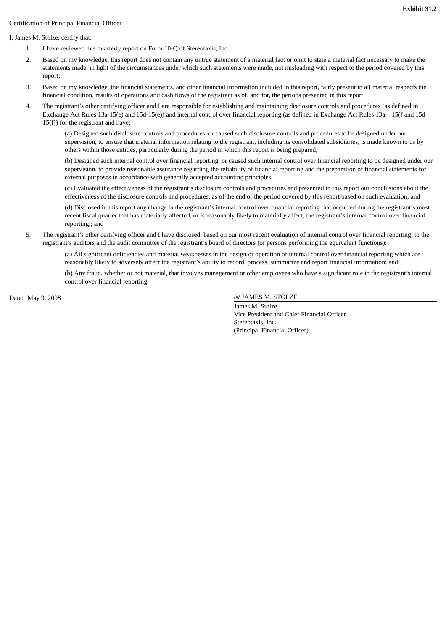## Certification of Principal Financial Officer

#### I, James M. Stolze, certify that:

- 1. I have reviewed this quarterly report on Form 10-Q of Stereotaxis, Inc.;
- 2. Based on my knowledge, this report does not contain any untrue statement of a material fact or omit to state a material fact necessary to make the statements made, in light of the circumstances under which such statements were made, not misleading with respect to the period covered by this report;
- 3. Based on my knowledge, the financial statements, and other financial information included in this report, fairly present in all material respects the financial condition, results of operations and cash flows of the registrant as of, and for, the periods presented in this report;
- 4. The registrant's other certifying officer and I are responsible for establishing and maintaining disclosure controls and procedures (as defined in Exchange Act Rules 13a-15(e) and 15d-15(e)) and internal control over financial reporting (as defined in Exchange Act Rules 13a – 15(f and 15d – 15(f)) for the registrant and have:

(a) Designed such disclosure controls and procedures, or caused such disclosure controls and procedures to be designed under our supervision, to ensure that material information relating to the registrant, including its consolidated subsidiaries, is made known to us by others within those entities, particularly during the period in which this report is being prepared;

(b) Designed such internal control over financial reporting, or caused such internal control over financial reporting to be designed under our supervision, to provide reasonable assurance regarding the reliability of financial reporting and the preparation of financial statements for external purposes in accordance with generally accepted accounting principles;

(c) Evaluated the effectiveness of the registrant's disclosure controls and procedures and presented in this report our conclusions about the effectiveness of the disclosure controls and procedures, as of the end of the period covered by this report based on such evaluation; and

(d) Disclosed in this report any change in the registrant's internal control over financial reporting that occurred during the registrant's most recent fiscal quarter that has materially affected, or is reasonably likely to materially affect, the registrant's internal control over financial reporting.; and

5. The registrant's other certifying officer and I have disclosed, based on our most recent evaluation of internal control over financial reporting, to the registrant's auditors and the audit committee of the registrant's board of directors (or persons performing the equivalent functions):

(a) All significant deficiencies and material weaknesses in the design or operation of internal control over financial reporting which are reasonably likely to adversely affect the registrant's ability to record, process, summarize and report financial information; and

(b) Any fraud, whether or not material, that involves management or other employees who have a significant role in the registrant's internal control over financial reporting.

## Date: May 9, 2008 /s/ JAMES M. STOLZE

James M. Stolze Vice President and Chief Financial Officer Stereotaxis, Inc. (Principal Financial Officer)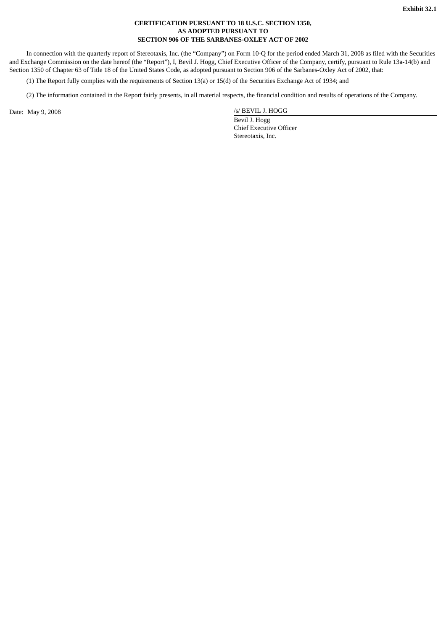## **CERTIFICATION PURSUANT TO 18 U.S.C. SECTION 1350, AS ADOPTED PURSUANT TO SECTION 906 OF THE SARBANES-OXLEY ACT OF 2002**

In connection with the quarterly report of Stereotaxis, Inc. (the "Company") on Form 10-Q for the period ended March 31, 2008 as filed with the Securities and Exchange Commission on the date hereof (the "Report"), I, Bevil J. Hogg, Chief Executive Officer of the Company, certify, pursuant to Rule 13a-14(b) and Section 1350 of Chapter 63 of Title 18 of the United States Code, as adopted pursuant to Section 906 of the Sarbanes-Oxley Act of 2002, that:

(1) The Report fully complies with the requirements of Section 13(a) or 15(d) of the Securities Exchange Act of 1934; and

(2) The information contained in the Report fairly presents, in all material respects, the financial condition and results of operations of the Company.

Date: May 9, 2008 /s/ BEVIL J. HOGG

Bevil J. Hogg Chief Executive Officer Stereotaxis, Inc.